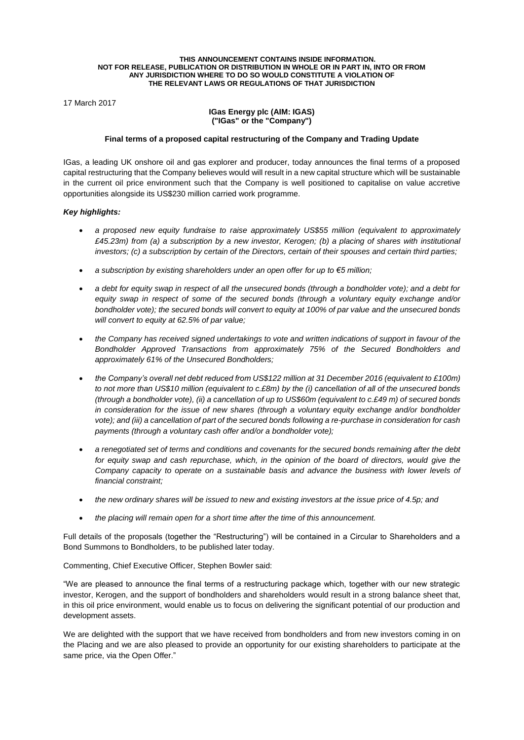#### **THIS ANNOUNCEMENT CONTAINS INSIDE INFORMATION. NOT FOR RELEASE, PUBLICATION OR DISTRIBUTION IN WHOLE OR IN PART IN, INTO OR FROM ANY JURISDICTION WHERE TO DO SO WOULD CONSTITUTE A VIOLATION OF THE RELEVANT LAWS OR REGULATIONS OF THAT JURISDICTION**

17 March 2017

### **IGas Energy plc (AIM: IGAS) ("IGas" or the "Company")**

## **Final terms of a proposed capital restructuring of the Company and Trading Update**

IGas, a leading UK onshore oil and gas explorer and producer, today announces the final terms of a proposed capital restructuring that the Company believes would will result in a new capital structure which will be sustainable in the current oil price environment such that the Company is well positioned to capitalise on value accretive opportunities alongside its US\$230 million carried work programme.

## *Key highlights:*

- *a proposed new equity fundraise to raise approximately US\$55 million (equivalent to approximately £45.23m) from (a) a subscription by a new investor, Kerogen; (b) a placing of shares with institutional investors; (c) a subscription by certain of the Directors, certain of their spouses and certain third parties;*
- *a subscription by existing shareholders under an open offer for up to €5 million;*
- *a debt for equity swap in respect of all the unsecured bonds (through a bondholder vote); and a debt for equity swap in respect of some of the secured bonds (through a voluntary equity exchange and/or bondholder vote); the secured bonds will convert to equity at 100% of par value and the unsecured bonds will convert to equity at 62.5% of par value;*
- *the Company has received signed undertakings to vote and written indications of support in favour of the Bondholder Approved Transactions from approximately 75% of the Secured Bondholders and approximately 61% of the Unsecured Bondholders;*
- *the Company's overall net debt reduced from US\$122 million at 31 December 2016 (equivalent to £100m) to not more than US\$10 million (equivalent to c.£8m) by the (i) cancellation of all of the unsecured bonds (through a bondholder vote), (ii) a cancellation of up to US\$60m (equivalent to c.£49 m) of secured bonds in consideration for the issue of new shares (through a voluntary equity exchange and/or bondholder vote); and (iii) a cancellation of part of the secured bonds following a re-purchase in consideration for cash payments (through a voluntary cash offer and/or a bondholder vote);*
- *a renegotiated set of terms and conditions and covenants for the secured bonds remaining after the debt for equity swap and cash repurchase, which, in the opinion of the board of directors, would give the Company capacity to operate on a sustainable basis and advance the business with lower levels of financial constraint;*
- *the new ordinary shares will be issued to new and existing investors at the issue price of 4.5p; and*
- *the placing will remain open for a short time after the time of this announcement.*

Full details of the proposals (together the "Restructuring") will be contained in a Circular to Shareholders and a Bond Summons to Bondholders, to be published later today.

Commenting, Chief Executive Officer, Stephen Bowler said:

"We are pleased to announce the final terms of a restructuring package which, together with our new strategic investor, Kerogen, and the support of bondholders and shareholders would result in a strong balance sheet that, in this oil price environment, would enable us to focus on delivering the significant potential of our production and development assets.

We are delighted with the support that we have received from bondholders and from new investors coming in on the Placing and we are also pleased to provide an opportunity for our existing shareholders to participate at the same price, via the Open Offer."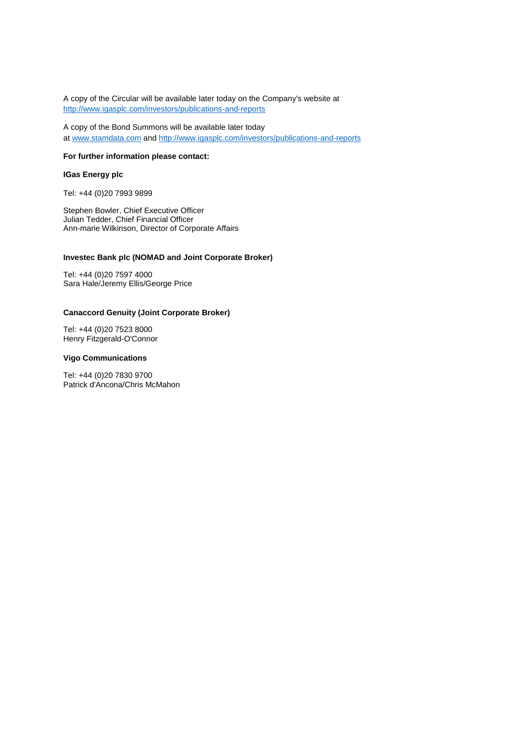A copy of the Circular will be available later today on the Company's website at <http://www.igasplc.com/investors/publications-and-reports>

A copy of the Bond Summons will be available later today at [www.stamdata.com](http://www.stamdata.com/) and <http://www.igasplc.com/investors/publications-and-reports>

## **For further information please contact:**

# **IGas Energy plc**

Tel: +44 (0)20 7993 9899

Stephen Bowler, Chief Executive Officer Julian Tedder, Chief Financial Officer Ann-marie Wilkinson, Director of Corporate Affairs

## **Investec Bank plc (NOMAD and Joint Corporate Broker)**

Tel: +44 (0)20 7597 4000 Sara Hale/Jeremy Ellis/George Price

## **Canaccord Genuity (Joint Corporate Broker)**

Tel: +44 (0)20 7523 8000 Henry Fitzgerald-O'Connor

### **Vigo Communications**

Tel: +44 (0)20 7830 9700 Patrick d'Ancona/Chris McMahon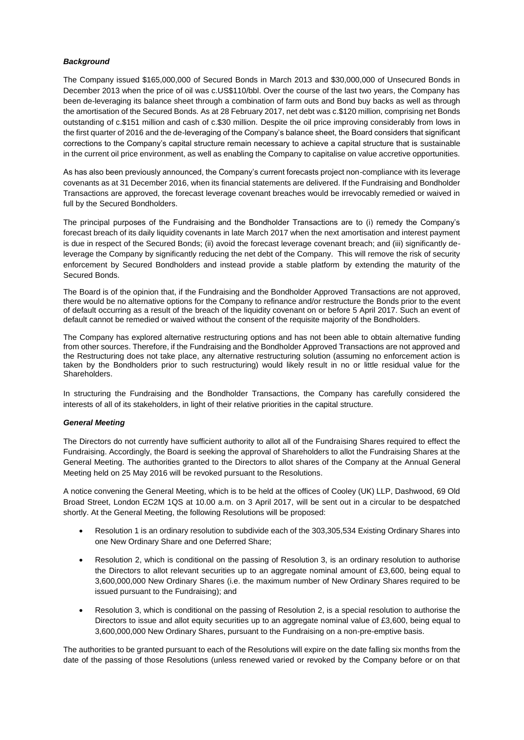#### *Background*

The Company issued \$165,000,000 of Secured Bonds in March 2013 and \$30,000,000 of Unsecured Bonds in December 2013 when the price of oil was c.US\$110/bbl. Over the course of the last two years, the Company has been de-leveraging its balance sheet through a combination of farm outs and Bond buy backs as well as through the amortisation of the Secured Bonds. As at 28 February 2017, net debt was c.\$120 million, comprising net Bonds outstanding of c.\$151 million and cash of c.\$30 million. Despite the oil price improving considerably from lows in the first quarter of 2016 and the de-leveraging of the Company's balance sheet, the Board considers that significant corrections to the Company's capital structure remain necessary to achieve a capital structure that is sustainable in the current oil price environment, as well as enabling the Company to capitalise on value accretive opportunities.

As has also been previously announced, the Company's current forecasts project non-compliance with its leverage covenants as at 31 December 2016, when its financial statements are delivered. If the Fundraising and Bondholder Transactions are approved, the forecast leverage covenant breaches would be irrevocably remedied or waived in full by the Secured Bondholders.

The principal purposes of the Fundraising and the Bondholder Transactions are to (i) remedy the Company's forecast breach of its daily liquidity covenants in late March 2017 when the next amortisation and interest payment is due in respect of the Secured Bonds; (ii) avoid the forecast leverage covenant breach; and (iii) significantly deleverage the Company by significantly reducing the net debt of the Company. This will remove the risk of security enforcement by Secured Bondholders and instead provide a stable platform by extending the maturity of the Secured Bonds.

The Board is of the opinion that, if the Fundraising and the Bondholder Approved Transactions are not approved, there would be no alternative options for the Company to refinance and/or restructure the Bonds prior to the event of default occurring as a result of the breach of the liquidity covenant on or before 5 April 2017. Such an event of default cannot be remedied or waived without the consent of the requisite majority of the Bondholders.

The Company has explored alternative restructuring options and has not been able to obtain alternative funding from other sources. Therefore, if the Fundraising and the Bondholder Approved Transactions are not approved and the Restructuring does not take place, any alternative restructuring solution (assuming no enforcement action is taken by the Bondholders prior to such restructuring) would likely result in no or little residual value for the Shareholders.

In structuring the Fundraising and the Bondholder Transactions, the Company has carefully considered the interests of all of its stakeholders, in light of their relative priorities in the capital structure.

#### *General Meeting*

The Directors do not currently have sufficient authority to allot all of the Fundraising Shares required to effect the Fundraising. Accordingly, the Board is seeking the approval of Shareholders to allot the Fundraising Shares at the General Meeting. The authorities granted to the Directors to allot shares of the Company at the Annual General Meeting held on 25 May 2016 will be revoked pursuant to the Resolutions.

A notice convening the General Meeting, which is to be held at the offices of Cooley (UK) LLP, Dashwood, 69 Old Broad Street, London EC2M 1QS at 10.00 a.m. on 3 April 2017, will be sent out in a circular to be despatched shortly. At the General Meeting, the following Resolutions will be proposed:

- Resolution 1 is an ordinary resolution to subdivide each of the 303,305,534 Existing Ordinary Shares into one New Ordinary Share and one Deferred Share;
- Resolution 2, which is conditional on the passing of Resolution 3, is an ordinary resolution to authorise the Directors to allot relevant securities up to an aggregate nominal amount of £3,600, being equal to 3,600,000,000 New Ordinary Shares (i.e. the maximum number of New Ordinary Shares required to be issued pursuant to the Fundraising); and
- Resolution 3, which is conditional on the passing of Resolution 2, is a special resolution to authorise the Directors to issue and allot equity securities up to an aggregate nominal value of £3,600, being equal to 3,600,000,000 New Ordinary Shares, pursuant to the Fundraising on a non-pre-emptive basis.

The authorities to be granted pursuant to each of the Resolutions will expire on the date falling six months from the date of the passing of those Resolutions (unless renewed varied or revoked by the Company before or on that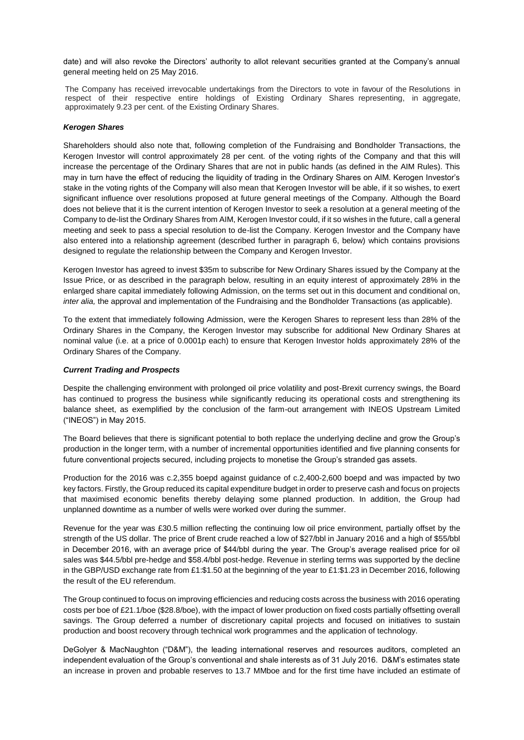date) and will also revoke the Directors' authority to allot relevant securities granted at the Company's annual general meeting held on 25 May 2016.

The Company has received irrevocable undertakings from the Directors to vote in favour of the Resolutions in respect of their respective entire holdings of Existing Ordinary Shares representing, in aggregate, approximately 9.23 per cent. of the Existing Ordinary Shares.

#### *Kerogen Shares*

Shareholders should also note that, following completion of the Fundraising and Bondholder Transactions, the Kerogen Investor will control approximately 28 per cent. of the voting rights of the Company and that this will increase the percentage of the Ordinary Shares that are not in public hands (as defined in the AIM Rules). This may in turn have the effect of reducing the liquidity of trading in the Ordinary Shares on AIM. Kerogen Investor's stake in the voting rights of the Company will also mean that Kerogen Investor will be able, if it so wishes, to exert significant influence over resolutions proposed at future general meetings of the Company. Although the Board does not believe that it is the current intention of Kerogen Investor to seek a resolution at a general meeting of the Company to de-list the Ordinary Shares from AIM, Kerogen Investor could, if it so wishes in the future, call a general meeting and seek to pass a special resolution to de-list the Company. Kerogen Investor and the Company have also entered into a relationship agreement (described further in paragraph 6, below) which contains provisions designed to regulate the relationship between the Company and Kerogen Investor.

Kerogen Investor has agreed to invest \$35m to subscribe for New Ordinary Shares issued by the Company at the Issue Price, or as described in the paragraph below, resulting in an equity interest of approximately 28% in the enlarged share capital immediately following Admission, on the terms set out in this document and conditional on, *inter alia,* the approval and implementation of the Fundraising and the Bondholder Transactions (as applicable).

To the extent that immediately following Admission, were the Kerogen Shares to represent less than 28% of the Ordinary Shares in the Company, the Kerogen Investor may subscribe for additional New Ordinary Shares at nominal value (i.e. at a price of 0.0001p each) to ensure that Kerogen Investor holds approximately 28% of the Ordinary Shares of the Company.

### *Current Trading and Prospects*

Despite the challenging environment with prolonged oil price volatility and post-Brexit currency swings, the Board has continued to progress the business while significantly reducing its operational costs and strengthening its balance sheet, as exemplified by the conclusion of the farm-out arrangement with INEOS Upstream Limited ("INEOS") in May 2015.

The Board believes that there is significant potential to both replace the underlying decline and grow the Group's production in the longer term, with a number of incremental opportunities identified and five planning consents for future conventional projects secured, including projects to monetise the Group's stranded gas assets.

Production for the 2016 was c.2,355 boepd against guidance of c.2,400-2,600 boepd and was impacted by two key factors. Firstly, the Group reduced its capital expenditure budget in order to preserve cash and focus on projects that maximised economic benefits thereby delaying some planned production. In addition, the Group had unplanned downtime as a number of wells were worked over during the summer.

Revenue for the year was £30.5 million reflecting the continuing low oil price environment, partially offset by the strength of the US dollar. The price of Brent crude reached a low of \$27/bbl in January 2016 and a high of \$55/bbl in December 2016, with an average price of \$44/bbl during the year. The Group's average realised price for oil sales was \$44.5/bbl pre-hedge and \$58.4/bbl post-hedge. Revenue in sterling terms was supported by the decline in the GBP/USD exchange rate from £1:\$1.50 at the beginning of the year to £1:\$1.23 in December 2016, following the result of the EU referendum.

The Group continued to focus on improving efficiencies and reducing costs across the business with 2016 operating costs per boe of £21.1/boe (\$28.8/boe), with the impact of lower production on fixed costs partially offsetting overall savings. The Group deferred a number of discretionary capital projects and focused on initiatives to sustain production and boost recovery through technical work programmes and the application of technology.

DeGolyer & MacNaughton ("D&M"), the leading international reserves and resources auditors, completed an independent evaluation of the Group's conventional and shale interests as of 31 July 2016. D&M's estimates state an increase in proven and probable reserves to 13.7 MMboe and for the first time have included an estimate of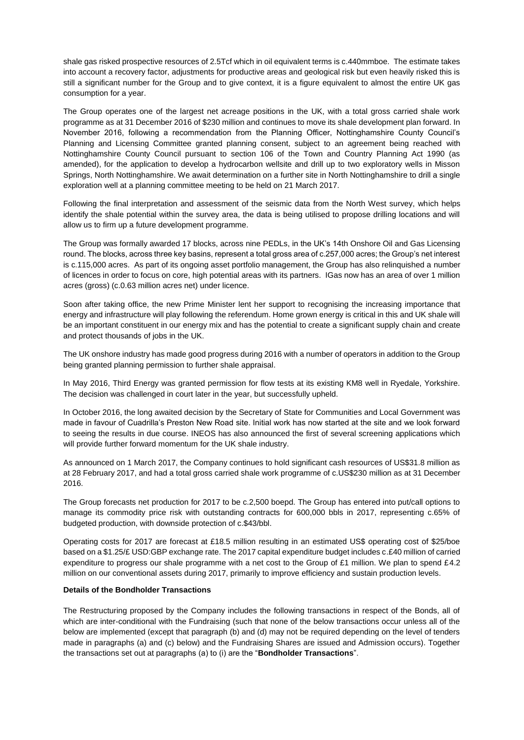shale gas risked prospective resources of 2.5Tcf which in oil equivalent terms is c.440mmboe. The estimate takes into account a recovery factor, adjustments for productive areas and geological risk but even heavily risked this is still a significant number for the Group and to give context, it is a figure equivalent to almost the entire UK gas consumption for a year.

The Group operates one of the largest net acreage positions in the UK, with a total gross carried shale work programme as at 31 December 2016 of \$230 million and continues to move its shale development plan forward. In November 2016, following a recommendation from the Planning Officer, Nottinghamshire County Council's Planning and Licensing Committee granted planning consent, subject to an agreement being reached with Nottinghamshire County Council pursuant to section 106 of the Town and Country Planning Act 1990 (as amended), for the application to develop a hydrocarbon wellsite and drill up to two exploratory wells in Misson Springs, North Nottinghamshire. We await determination on a further site in North Nottinghamshire to drill a single exploration well at a planning committee meeting to be held on 21 March 2017.

Following the final interpretation and assessment of the seismic data from the North West survey, which helps identify the shale potential within the survey area, the data is being utilised to propose drilling locations and will allow us to firm up a future development programme.

The Group was formally awarded 17 blocks, across nine PEDLs, in the UK's 14th Onshore Oil and Gas Licensing round. The blocks, across three key basins, represent a total gross area of c.257,000 acres; the Group's net interest is c.115,000 acres. As part of its ongoing asset portfolio management, the Group has also relinquished a number of licences in order to focus on core, high potential areas with its partners. IGas now has an area of over 1 million acres (gross) (c.0.63 million acres net) under licence.

Soon after taking office, the new Prime Minister lent her support to recognising the increasing importance that energy and infrastructure will play following the referendum. Home grown energy is critical in this and UK shale will be an important constituent in our energy mix and has the potential to create a significant supply chain and create and protect thousands of jobs in the UK.

The UK onshore industry has made good progress during 2016 with a number of operators in addition to the Group being granted planning permission to further shale appraisal.

In May 2016, Third Energy was granted permission for flow tests at its existing KM8 well in Ryedale, Yorkshire. The decision was challenged in court later in the year, but successfully upheld.

In October 2016, the long awaited decision by the Secretary of State for Communities and Local Government was made in favour of Cuadrilla's Preston New Road site. Initial work has now started at the site and we look forward to seeing the results in due course. INEOS has also announced the first of several screening applications which will provide further forward momentum for the UK shale industry.

As announced on 1 March 2017, the Company continues to hold significant cash resources of US\$31.8 million as at 28 February 2017, and had a total gross carried shale work programme of c.US\$230 million as at 31 December 2016.

The Group forecasts net production for 2017 to be c.2,500 boepd. The Group has entered into put/call options to manage its commodity price risk with outstanding contracts for 600,000 bbls in 2017, representing c.65% of budgeted production, with downside protection of c.\$43/bbl.

Operating costs for 2017 are forecast at £18.5 million resulting in an estimated US\$ operating cost of \$25/boe based on a \$1.25/£ USD:GBP exchange rate. The 2017 capital expenditure budget includes c.£40 million of carried expenditure to progress our shale programme with a net cost to the Group of £1 million. We plan to spend £4.2 million on our conventional assets during 2017, primarily to improve efficiency and sustain production levels.

## **Details of the Bondholder Transactions**

The Restructuring proposed by the Company includes the following transactions in respect of the Bonds, all of which are inter-conditional with the Fundraising (such that none of the below transactions occur unless all of the below are implemented (except that paragraph (b) and (d) may not be required depending on the level of tenders made in paragraphs (a) and (c) below) and the Fundraising Shares are issued and Admission occurs). Together the transactions set out at paragraphs (a) to (i) are the "**Bondholder Transactions**".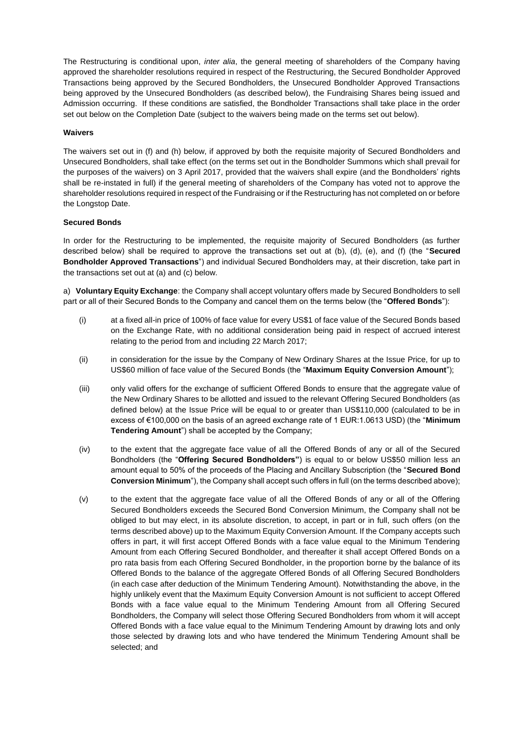The Restructuring is conditional upon, *inter alia*, the general meeting of shareholders of the Company having approved the shareholder resolutions required in respect of the Restructuring, the Secured Bondholder Approved Transactions being approved by the Secured Bondholders, the Unsecured Bondholder Approved Transactions being approved by the Unsecured Bondholders (as described below), the Fundraising Shares being issued and Admission occurring. If these conditions are satisfied, the Bondholder Transactions shall take place in the order set out below on the Completion Date (subject to the waivers being made on the terms set out below).

### **Waivers**

The waivers set out in (f) and (h) below, if approved by both the requisite majority of Secured Bondholders and Unsecured Bondholders, shall take effect (on the terms set out in the Bondholder Summons which shall prevail for the purposes of the waivers) on 3 April 2017, provided that the waivers shall expire (and the Bondholders' rights shall be re-instated in full) if the general meeting of shareholders of the Company has voted not to approve the shareholder resolutions required in respect of the Fundraising or if the Restructuring has not completed on or before the Longstop Date.

## **Secured Bonds**

In order for the Restructuring to be implemented, the requisite majority of Secured Bondholders (as further described below) shall be required to approve the transactions set out at (b), (d), (e), and (f) (the "**Secured Bondholder Approved Transactions**") and individual Secured Bondholders may, at their discretion, take part in the transactions set out at (a) and (c) below.

a) **Voluntary Equity Exchange**: the Company shall accept voluntary offers made by Secured Bondholders to sell part or all of their Secured Bonds to the Company and cancel them on the terms below (the "**Offered Bonds**"):

- (i) at a fixed all-in price of 100% of face value for every US\$1 of face value of the Secured Bonds based on the Exchange Rate, with no additional consideration being paid in respect of accrued interest relating to the period from and including 22 March 2017;
- (ii) in consideration for the issue by the Company of New Ordinary Shares at the Issue Price, for up to US\$60 million of face value of the Secured Bonds (the "**Maximum Equity Conversion Amount**");
- (iii) only valid offers for the exchange of sufficient Offered Bonds to ensure that the aggregate value of the New Ordinary Shares to be allotted and issued to the relevant Offering Secured Bondholders (as defined below) at the Issue Price will be equal to or greater than US\$110,000 (calculated to be in excess of €100,000 on the basis of an agreed exchange rate of 1 EUR:1.0613 USD) (the "**Minimum Tendering Amount**") shall be accepted by the Company;
- (iv) to the extent that the aggregate face value of all the Offered Bonds of any or all of the Secured Bondholders (the "**Offering Secured Bondholders"**) is equal to or below US\$50 million less an amount equal to 50% of the proceeds of the Placing and Ancillary Subscription (the "**Secured Bond Conversion Minimum**"), the Company shall accept such offers in full (on the terms described above);
- (v) to the extent that the aggregate face value of all the Offered Bonds of any or all of the Offering Secured Bondholders exceeds the Secured Bond Conversion Minimum, the Company shall not be obliged to but may elect, in its absolute discretion, to accept, in part or in full, such offers (on the terms described above) up to the Maximum Equity Conversion Amount. If the Company accepts such offers in part, it will first accept Offered Bonds with a face value equal to the Minimum Tendering Amount from each Offering Secured Bondholder, and thereafter it shall accept Offered Bonds on a pro rata basis from each Offering Secured Bondholder, in the proportion borne by the balance of its Offered Bonds to the balance of the aggregate Offered Bonds of all Offering Secured Bondholders (in each case after deduction of the Minimum Tendering Amount). Notwithstanding the above, in the highly unlikely event that the Maximum Equity Conversion Amount is not sufficient to accept Offered Bonds with a face value equal to the Minimum Tendering Amount from all Offering Secured Bondholders, the Company will select those Offering Secured Bondholders from whom it will accept Offered Bonds with a face value equal to the Minimum Tendering Amount by drawing lots and only those selected by drawing lots and who have tendered the Minimum Tendering Amount shall be selected; and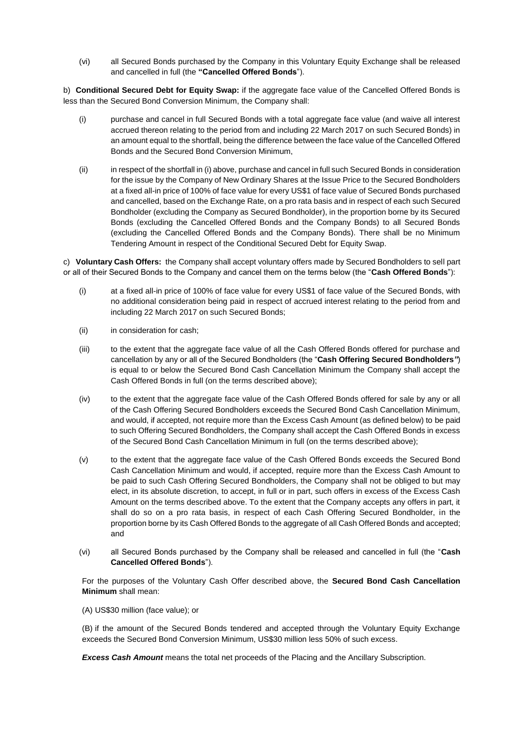(vi) all Secured Bonds purchased by the Company in this Voluntary Equity Exchange shall be released and cancelled in full (the **"Cancelled Offered Bonds**").

b) **Conditional Secured Debt for Equity Swap:** if the aggregate face value of the Cancelled Offered Bonds is less than the Secured Bond Conversion Minimum, the Company shall:

- (i) purchase and cancel in full Secured Bonds with a total aggregate face value (and waive all interest accrued thereon relating to the period from and including 22 March 2017 on such Secured Bonds) in an amount equal to the shortfall, being the difference between the face value of the Cancelled Offered Bonds and the Secured Bond Conversion Minimum,
- (ii) in respect of the shortfall in (i) above, purchase and cancel in full such Secured Bonds in consideration for the issue by the Company of New Ordinary Shares at the Issue Price to the Secured Bondholders at a fixed all-in price of 100% of face value for every US\$1 of face value of Secured Bonds purchased and cancelled, based on the Exchange Rate, on a pro rata basis and in respect of each such Secured Bondholder (excluding the Company as Secured Bondholder), in the proportion borne by its Secured Bonds (excluding the Cancelled Offered Bonds and the Company Bonds) to all Secured Bonds (excluding the Cancelled Offered Bonds and the Company Bonds). There shall be no Minimum Tendering Amount in respect of the Conditional Secured Debt for Equity Swap.

c) **Voluntary Cash Offers:** the Company shall accept voluntary offers made by Secured Bondholders to sell part or all of their Secured Bonds to the Company and cancel them on the terms below (the "**Cash Offered Bonds**"):

- (i) at a fixed all-in price of 100% of face value for every US\$1 of face value of the Secured Bonds, with no additional consideration being paid in respect of accrued interest relating to the period from and including 22 March 2017 on such Secured Bonds;
- (ii) in consideration for cash;
- (iii) to the extent that the aggregate face value of all the Cash Offered Bonds offered for purchase and cancellation by any or all of the Secured Bondholders (the "**Cash Offering Secured Bondholders***"*) is equal to or below the Secured Bond Cash Cancellation Minimum the Company shall accept the Cash Offered Bonds in full (on the terms described above);
- (iv) to the extent that the aggregate face value of the Cash Offered Bonds offered for sale by any or all of the Cash Offering Secured Bondholders exceeds the Secured Bond Cash Cancellation Minimum, and would, if accepted, not require more than the Excess Cash Amount (as defined below) to be paid to such Offering Secured Bondholders, the Company shall accept the Cash Offered Bonds in excess of the Secured Bond Cash Cancellation Minimum in full (on the terms described above);
- (v) to the extent that the aggregate face value of the Cash Offered Bonds exceeds the Secured Bond Cash Cancellation Minimum and would, if accepted, require more than the Excess Cash Amount to be paid to such Cash Offering Secured Bondholders, the Company shall not be obliged to but may elect, in its absolute discretion, to accept, in full or in part, such offers in excess of the Excess Cash Amount on the terms described above. To the extent that the Company accepts any offers in part, it shall do so on a pro rata basis, in respect of each Cash Offering Secured Bondholder, in the proportion borne by its Cash Offered Bonds to the aggregate of all Cash Offered Bonds and accepted; and
- (vi) all Secured Bonds purchased by the Company shall be released and cancelled in full (the "**Cash Cancelled Offered Bonds**").

For the purposes of the Voluntary Cash Offer described above, the **Secured Bond Cash Cancellation Minimum** shall mean:

(A) US\$30 million (face value); or

(B) if the amount of the Secured Bonds tendered and accepted through the Voluntary Equity Exchange exceeds the Secured Bond Conversion Minimum, US\$30 million less 50% of such excess.

*Excess Cash Amount* means the total net proceeds of the Placing and the Ancillary Subscription.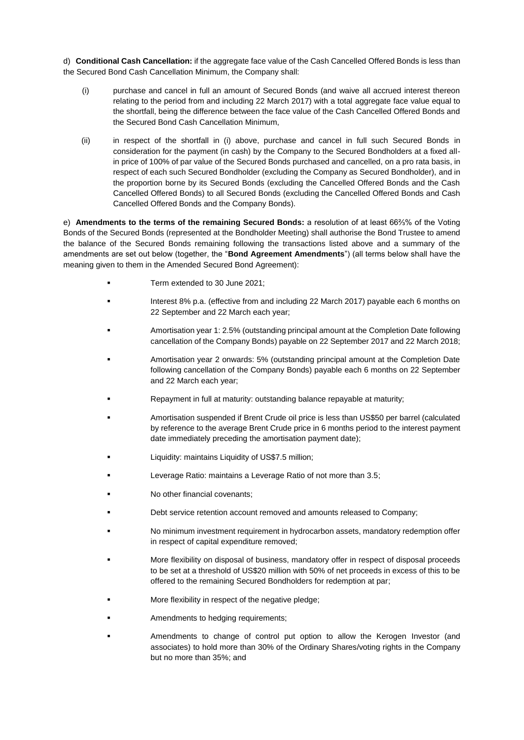d) **Conditional Cash Cancellation:** if the aggregate face value of the Cash Cancelled Offered Bonds is less than the Secured Bond Cash Cancellation Minimum, the Company shall:

- (i) purchase and cancel in full an amount of Secured Bonds (and waive all accrued interest thereon relating to the period from and including 22 March 2017) with a total aggregate face value equal to the shortfall, being the difference between the face value of the Cash Cancelled Offered Bonds and the Secured Bond Cash Cancellation Minimum,
- (ii) in respect of the shortfall in (i) above, purchase and cancel in full such Secured Bonds in consideration for the payment (in cash) by the Company to the Secured Bondholders at a fixed allin price of 100% of par value of the Secured Bonds purchased and cancelled, on a pro rata basis, in respect of each such Secured Bondholder (excluding the Company as Secured Bondholder), and in the proportion borne by its Secured Bonds (excluding the Cancelled Offered Bonds and the Cash Cancelled Offered Bonds) to all Secured Bonds (excluding the Cancelled Offered Bonds and Cash Cancelled Offered Bonds and the Company Bonds).

e) **Amendments to the terms of the remaining Secured Bonds:** a resolution of at least 66⅔% of the Voting Bonds of the Secured Bonds (represented at the Bondholder Meeting) shall authorise the Bond Trustee to amend the balance of the Secured Bonds remaining following the transactions listed above and a summary of the amendments are set out below (together, the "**Bond Agreement Amendments**") (all terms below shall have the meaning given to them in the Amended Secured Bond Agreement):

- Term extended to 30 June 2021;
- Interest 8% p.a. (effective from and including 22 March 2017) payable each 6 months on 22 September and 22 March each year;
- Amortisation year 1: 2.5% (outstanding principal amount at the Completion Date following cancellation of the Company Bonds) payable on 22 September 2017 and 22 March 2018;
- Amortisation year 2 onwards: 5% (outstanding principal amount at the Completion Date following cancellation of the Company Bonds) payable each 6 months on 22 September and 22 March each year;
- Repayment in full at maturity: outstanding balance repayable at maturity;
- Amortisation suspended if Brent Crude oil price is less than US\$50 per barrel (calculated by reference to the average Brent Crude price in 6 months period to the interest payment date immediately preceding the amortisation payment date);
- Liquidity: maintains Liquidity of US\$7.5 million;
- Leverage Ratio: maintains a Leverage Ratio of not more than 3.5;
- No other financial covenants;
- Debt service retention account removed and amounts released to Company;
- No minimum investment requirement in hydrocarbon assets, mandatory redemption offer in respect of capital expenditure removed;
- More flexibility on disposal of business, mandatory offer in respect of disposal proceeds to be set at a threshold of US\$20 million with 50% of net proceeds in excess of this to be offered to the remaining Secured Bondholders for redemption at par;
- More flexibility in respect of the negative pledge;
- Amendments to hedging requirements;
- Amendments to change of control put option to allow the Kerogen Investor (and associates) to hold more than 30% of the Ordinary Shares/voting rights in the Company but no more than 35%; and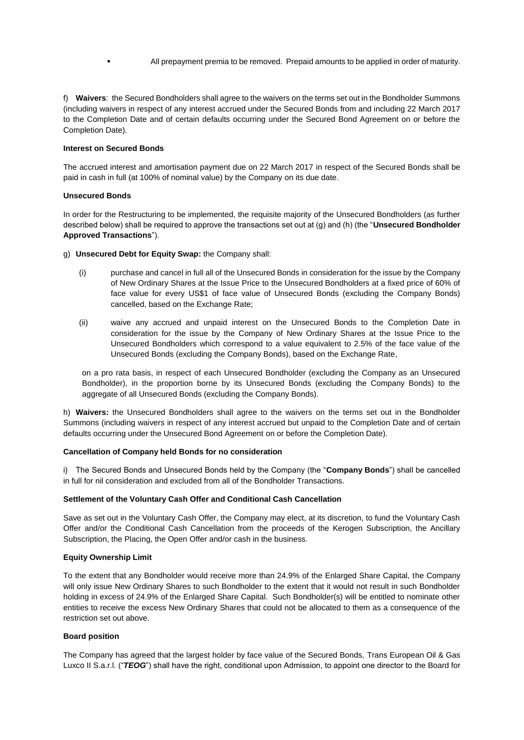All prepayment premia to be removed. Prepaid amounts to be applied in order of maturity.

f) **Waivers**: the Secured Bondholders shall agree to the waivers on the terms set out in the Bondholder Summons (including waivers in respect of any interest accrued under the Secured Bonds from and including 22 March 2017 to the Completion Date and of certain defaults occurring under the Secured Bond Agreement on or before the Completion Date).

## **Interest on Secured Bonds**

The accrued interest and amortisation payment due on 22 March 2017 in respect of the Secured Bonds shall be paid in cash in full (at 100% of nominal value) by the Company on its due date.

## **Unsecured Bonds**

In order for the Restructuring to be implemented, the requisite majority of the Unsecured Bondholders (as further described below) shall be required to approve the transactions set out at (g) and (h) (the "**Unsecured Bondholder Approved Transactions**").

- g) **Unsecured Debt for Equity Swap:** the Company shall:
	- (i) purchase and cancel in full all of the Unsecured Bonds in consideration for the issue by the Company of New Ordinary Shares at the Issue Price to the Unsecured Bondholders at a fixed price of 60% of face value for every US\$1 of face value of Unsecured Bonds (excluding the Company Bonds) cancelled, based on the Exchange Rate;
	- (ii) waive any accrued and unpaid interest on the Unsecured Bonds to the Completion Date in consideration for the issue by the Company of New Ordinary Shares at the Issue Price to the Unsecured Bondholders which correspond to a value equivalent to 2.5% of the face value of the Unsecured Bonds (excluding the Company Bonds), based on the Exchange Rate,

on a pro rata basis, in respect of each Unsecured Bondholder (excluding the Company as an Unsecured Bondholder), in the proportion borne by its Unsecured Bonds (excluding the Company Bonds) to the aggregate of all Unsecured Bonds (excluding the Company Bonds).

h) **Waivers:** the Unsecured Bondholders shall agree to the waivers on the terms set out in the Bondholder Summons (including waivers in respect of any interest accrued but unpaid to the Completion Date and of certain defaults occurring under the Unsecured Bond Agreement on or before the Completion Date).

## **Cancellation of Company held Bonds for no consideration**

i) The Secured Bonds and Unsecured Bonds held by the Company (the "**Company Bonds**") shall be cancelled in full for nil consideration and excluded from all of the Bondholder Transactions.

#### **Settlement of the Voluntary Cash Offer and Conditional Cash Cancellation**

Save as set out in the Voluntary Cash Offer, the Company may elect, at its discretion, to fund the Voluntary Cash Offer and/or the Conditional Cash Cancellation from the proceeds of the Kerogen Subscription, the Ancillary Subscription, the Placing, the Open Offer and/or cash in the business.

## **Equity Ownership Limit**

To the extent that any Bondholder would receive more than 24.9% of the Enlarged Share Capital, the Company will only issue New Ordinary Shares to such Bondholder to the extent that it would not result in such Bondholder holding in excess of 24.9% of the Enlarged Share Capital. Such Bondholder(s) will be entitled to nominate other entities to receive the excess New Ordinary Shares that could not be allocated to them as a consequence of the restriction set out above.

## **Board position**

The Company has agreed that the largest holder by face value of the Secured Bonds, Trans European Oil & Gas Luxco II S.a.r.l. ("*TEOG*") shall have the right, conditional upon Admission, to appoint one director to the Board for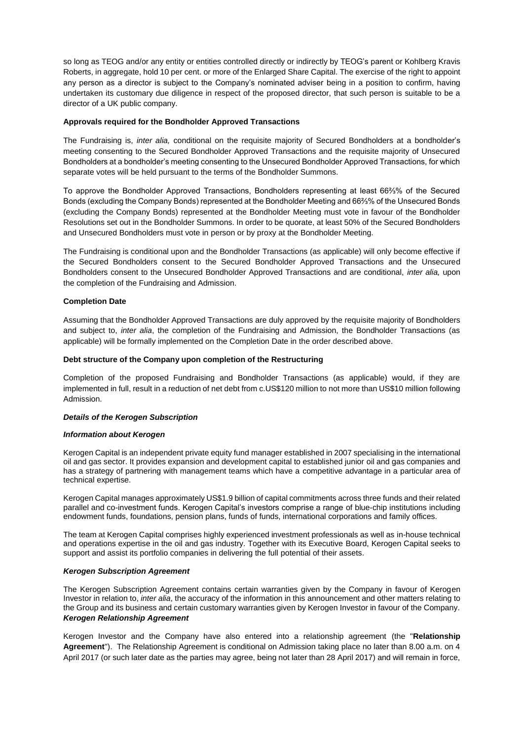so long as TEOG and/or any entity or entities controlled directly or indirectly by TEOG's parent or Kohlberg Kravis Roberts, in aggregate, hold 10 per cent. or more of the Enlarged Share Capital. The exercise of the right to appoint any person as a director is subject to the Company's nominated adviser being in a position to confirm, having undertaken its customary due diligence in respect of the proposed director, that such person is suitable to be a director of a UK public company.

## **Approvals required for the Bondholder Approved Transactions**

The Fundraising is, *inter alia,* conditional on the requisite majority of Secured Bondholders at a bondholder's meeting consenting to the Secured Bondholder Approved Transactions and the requisite majority of Unsecured Bondholders at a bondholder's meeting consenting to the Unsecured Bondholder Approved Transactions, for which separate votes will be held pursuant to the terms of the Bondholder Summons.

To approve the Bondholder Approved Transactions, Bondholders representing at least 66⅔% of the Secured Bonds (excluding the Company Bonds) represented at the Bondholder Meeting and 66⅔% of the Unsecured Bonds (excluding the Company Bonds) represented at the Bondholder Meeting must vote in favour of the Bondholder Resolutions set out in the Bondholder Summons. In order to be quorate, at least 50% of the Secured Bondholders and Unsecured Bondholders must vote in person or by proxy at the Bondholder Meeting.

The Fundraising is conditional upon and the Bondholder Transactions (as applicable) will only become effective if the Secured Bondholders consent to the Secured Bondholder Approved Transactions and the Unsecured Bondholders consent to the Unsecured Bondholder Approved Transactions and are conditional, *inter alia,* upon the completion of the Fundraising and Admission.

## **Completion Date**

Assuming that the Bondholder Approved Transactions are duly approved by the requisite majority of Bondholders and subject to, *inter alia*, the completion of the Fundraising and Admission, the Bondholder Transactions (as applicable) will be formally implemented on the Completion Date in the order described above.

#### **Debt structure of the Company upon completion of the Restructuring**

Completion of the proposed Fundraising and Bondholder Transactions (as applicable) would, if they are implemented in full, result in a reduction of net debt from c.US\$120 million to not more than US\$10 million following Admission.

### *Details of the Kerogen Subscription*

#### *Information about Kerogen*

Kerogen Capital is an independent private equity fund manager established in 2007 specialising in the international oil and gas sector. It provides expansion and development capital to established junior oil and gas companies and has a strategy of partnering with management teams which have a competitive advantage in a particular area of technical expertise.

Kerogen Capital manages approximately US\$1.9 billion of capital commitments across three funds and their related parallel and co-investment funds. Kerogen Capital's investors comprise a range of blue-chip institutions including endowment funds, foundations, pension plans, funds of funds, international corporations and family offices.

The team at Kerogen Capital comprises highly experienced investment professionals as well as in-house technical and operations expertise in the oil and gas industry. Together with its Executive Board, Kerogen Capital seeks to support and assist its portfolio companies in delivering the full potential of their assets.

## *Kerogen Subscription Agreement*

The Kerogen Subscription Agreement contains certain warranties given by the Company in favour of Kerogen Investor in relation to, *inter alia*, the accuracy of the information in this announcement and other matters relating to the Group and its business and certain customary warranties given by Kerogen Investor in favour of the Company. *Kerogen Relationship Agreement*

Kerogen Investor and the Company have also entered into a relationship agreement (the "**Relationship Agreement**"). The Relationship Agreement is conditional on Admission taking place no later than 8.00 a.m. on 4 April 2017 (or such later date as the parties may agree, being not later than 28 April 2017) and will remain in force,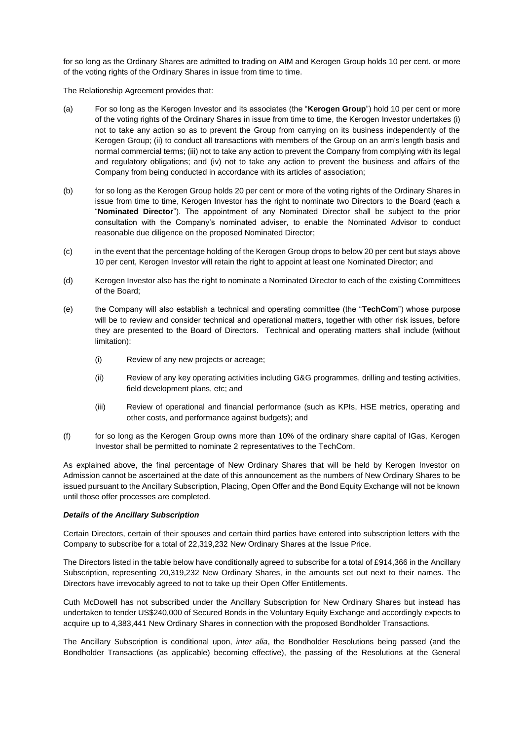for so long as the Ordinary Shares are admitted to trading on AIM and Kerogen Group holds 10 per cent. or more of the voting rights of the Ordinary Shares in issue from time to time.

The Relationship Agreement provides that:

- (a) For so long as the Kerogen Investor and its associates (the "**Kerogen Group**") hold 10 per cent or more of the voting rights of the Ordinary Shares in issue from time to time, the Kerogen Investor undertakes (i) not to take any action so as to prevent the Group from carrying on its business independently of the Kerogen Group; (ii) to conduct all transactions with members of the Group on an arm's length basis and normal commercial terms; (iii) not to take any action to prevent the Company from complying with its legal and regulatory obligations; and (iv) not to take any action to prevent the business and affairs of the Company from being conducted in accordance with its articles of association;
- (b) for so long as the Kerogen Group holds 20 per cent or more of the voting rights of the Ordinary Shares in issue from time to time, Kerogen Investor has the right to nominate two Directors to the Board (each a "**Nominated Director**"). The appointment of any Nominated Director shall be subject to the prior consultation with the Company's nominated adviser, to enable the Nominated Advisor to conduct reasonable due diligence on the proposed Nominated Director;
- (c) in the event that the percentage holding of the Kerogen Group drops to below 20 per cent but stays above 10 per cent, Kerogen Investor will retain the right to appoint at least one Nominated Director; and
- (d) Kerogen Investor also has the right to nominate a Nominated Director to each of the existing Committees of the Board;
- (e) the Company will also establish a technical and operating committee (the "**TechCom**") whose purpose will be to review and consider technical and operational matters, together with other risk issues, before they are presented to the Board of Directors. Technical and operating matters shall include (without limitation):
	- (i) Review of any new projects or acreage;
	- (ii) Review of any key operating activities including G&G programmes, drilling and testing activities, field development plans, etc; and
	- (iii) Review of operational and financial performance (such as KPIs, HSE metrics, operating and other costs, and performance against budgets); and
- (f) for so long as the Kerogen Group owns more than 10% of the ordinary share capital of IGas, Kerogen Investor shall be permitted to nominate 2 representatives to the TechCom.

As explained above, the final percentage of New Ordinary Shares that will be held by Kerogen Investor on Admission cannot be ascertained at the date of this announcement as the numbers of New Ordinary Shares to be issued pursuant to the Ancillary Subscription, Placing, Open Offer and the Bond Equity Exchange will not be known until those offer processes are completed.

#### *Details of the Ancillary Subscription*

Certain Directors, certain of their spouses and certain third parties have entered into subscription letters with the Company to subscribe for a total of 22,319,232 New Ordinary Shares at the Issue Price.

The Directors listed in the table below have conditionally agreed to subscribe for a total of £914,366 in the Ancillary Subscription, representing 20,319,232 New Ordinary Shares, in the amounts set out next to their names. The Directors have irrevocably agreed to not to take up their Open Offer Entitlements.

Cuth McDowell has not subscribed under the Ancillary Subscription for New Ordinary Shares but instead has undertaken to tender US\$240,000 of Secured Bonds in the Voluntary Equity Exchange and accordingly expects to acquire up to 4,383,441 New Ordinary Shares in connection with the proposed Bondholder Transactions.

The Ancillary Subscription is conditional upon, *inter alia*, the Bondholder Resolutions being passed (and the Bondholder Transactions (as applicable) becoming effective), the passing of the Resolutions at the General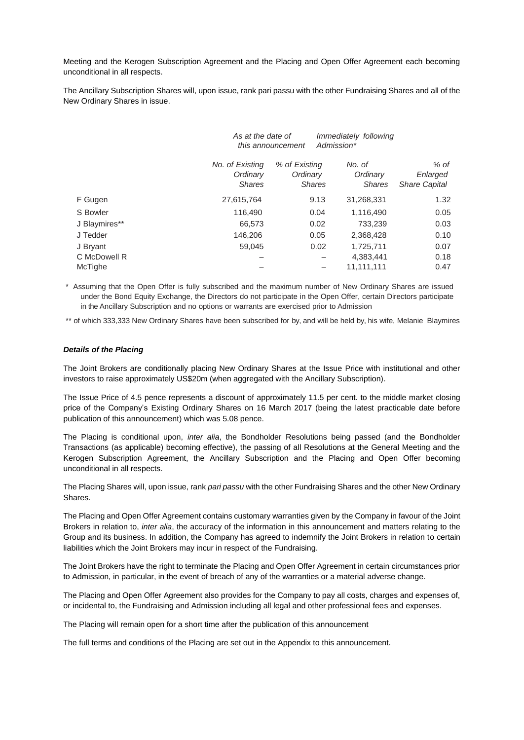Meeting and the Kerogen Subscription Agreement and the Placing and Open Offer Agreement each becoming unconditional in all respects.

The Ancillary Subscription Shares will, upon issue, rank pari passu with the other Fundraising Shares and all of the New Ordinary Shares in issue.

|                | As at the date of                            | this announcement                          | Immediately following<br>Admission* |                                          |
|----------------|----------------------------------------------|--------------------------------------------|-------------------------------------|------------------------------------------|
|                | No. of Existing<br>Ordinary<br><b>Shares</b> | % of Existing<br>Ordinary<br><b>Shares</b> | No. of<br>Ordinary<br><b>Shares</b> | % of<br>Enlarged<br><b>Share Capital</b> |
| F Gugen        | 27,615,764                                   | 9.13                                       | 31,268,331                          | 1.32                                     |
| S Bowler       | 116,490                                      | 0.04                                       | 1,116,490                           | 0.05                                     |
| J Blaymires**  | 66,573                                       | 0.02                                       | 733,239                             | 0.03                                     |
| J Tedder       | 146,206                                      | 0.05                                       | 2,368,428                           | 0.10                                     |
| J Bryant       | 59.045                                       | 0.02                                       | 1.725.711                           | 0.07                                     |
| C McDowell R   |                                              |                                            | 4,383,441                           | 0.18                                     |
| <b>McTighe</b> |                                              |                                            | 11.111.111                          | 0.47                                     |

\* Assuming that the Open Offer is fully subscribed and the maximum number of New Ordinary Shares are issued under the Bond Equity Exchange, the Directors do not participate in the Open Offer, certain Directors participate in the Ancillary Subscription and no options or warrants are exercised prior to Admission

\*\* of which 333,333 New Ordinary Shares have been subscribed for by, and will be held by, his wife, Melanie Blaymires

#### *Details of the Placing*

The Joint Brokers are conditionally placing New Ordinary Shares at the Issue Price with institutional and other investors to raise approximately US\$20m (when aggregated with the Ancillary Subscription).

The Issue Price of 4.5 pence represents a discount of approximately 11.5 per cent. to the middle market closing price of the Company's Existing Ordinary Shares on 16 March 2017 (being the latest practicable date before publication of this announcement) which was 5.08 pence.

The Placing is conditional upon, *inter alia*, the Bondholder Resolutions being passed (and the Bondholder Transactions (as applicable) becoming effective), the passing of all Resolutions at the General Meeting and the Kerogen Subscription Agreement, the Ancillary Subscription and the Placing and Open Offer becoming unconditional in all respects.

The Placing Shares will, upon issue, rank *pari passu* with the other Fundraising Shares and the other New Ordinary Shares.

The Placing and Open Offer Agreement contains customary warranties given by the Company in favour of the Joint Brokers in relation to, *inter alia*, the accuracy of the information in this announcement and matters relating to the Group and its business. In addition, the Company has agreed to indemnify the Joint Brokers in relation to certain liabilities which the Joint Brokers may incur in respect of the Fundraising.

The Joint Brokers have the right to terminate the Placing and Open Offer Agreement in certain circumstances prior to Admission, in particular, in the event of breach of any of the warranties or a material adverse change.

The Placing and Open Offer Agreement also provides for the Company to pay all costs, charges and expenses of, or incidental to, the Fundraising and Admission including all legal and other professional fees and expenses.

The Placing will remain open for a short time after the publication of this announcement

The full terms and conditions of the Placing are set out in the Appendix to this announcement.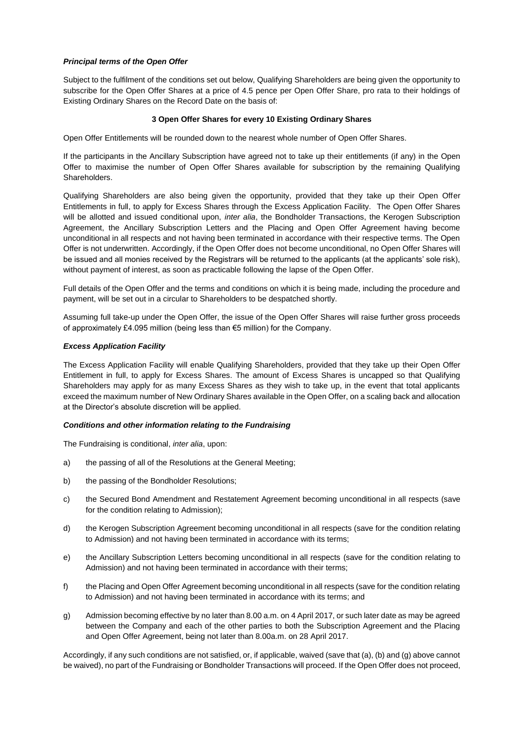## *Principal terms of the Open Offer*

Subject to the fulfilment of the conditions set out below, Qualifying Shareholders are being given the opportunity to subscribe for the Open Offer Shares at a price of 4.5 pence per Open Offer Share, pro rata to their holdings of Existing Ordinary Shares on the Record Date on the basis of:

## **3 Open Offer Shares for every 10 Existing Ordinary Shares**

Open Offer Entitlements will be rounded down to the nearest whole number of Open Offer Shares.

If the participants in the Ancillary Subscription have agreed not to take up their entitlements (if any) in the Open Offer to maximise the number of Open Offer Shares available for subscription by the remaining Qualifying Shareholders.

Qualifying Shareholders are also being given the opportunity, provided that they take up their Open Offer Entitlements in full, to apply for Excess Shares through the Excess Application Facility. The Open Offer Shares will be allotted and issued conditional upon, *inter alia*, the Bondholder Transactions, the Kerogen Subscription Agreement, the Ancillary Subscription Letters and the Placing and Open Offer Agreement having become unconditional in all respects and not having been terminated in accordance with their respective terms. The Open Offer is not underwritten. Accordingly, if the Open Offer does not become unconditional, no Open Offer Shares will be issued and all monies received by the Registrars will be returned to the applicants (at the applicants' sole risk), without payment of interest, as soon as practicable following the lapse of the Open Offer.

Full details of the Open Offer and the terms and conditions on which it is being made, including the procedure and payment, will be set out in a circular to Shareholders to be despatched shortly.

Assuming full take-up under the Open Offer, the issue of the Open Offer Shares will raise further gross proceeds of approximately £4.095 million (being less than €5 million) for the Company.

## *Excess Application Facility*

The Excess Application Facility will enable Qualifying Shareholders, provided that they take up their Open Offer Entitlement in full, to apply for Excess Shares. The amount of Excess Shares is uncapped so that Qualifying Shareholders may apply for as many Excess Shares as they wish to take up, in the event that total applicants exceed the maximum number of New Ordinary Shares available in the Open Offer, on a scaling back and allocation at the Director's absolute discretion will be applied.

#### *Conditions and other information relating to the Fundraising*

The Fundraising is conditional, *inter alia*, upon:

- a) the passing of all of the Resolutions at the General Meeting;
- b) the passing of the Bondholder Resolutions;
- c) the Secured Bond Amendment and Restatement Agreement becoming unconditional in all respects (save for the condition relating to Admission);
- d) the Kerogen Subscription Agreement becoming unconditional in all respects (save for the condition relating to Admission) and not having been terminated in accordance with its terms;
- e) the Ancillary Subscription Letters becoming unconditional in all respects (save for the condition relating to Admission) and not having been terminated in accordance with their terms;
- f) the Placing and Open Offer Agreement becoming unconditional in all respects (save for the condition relating to Admission) and not having been terminated in accordance with its terms; and
- g) Admission becoming effective by no later than 8.00 a.m. on 4 April 2017, or such later date as may be agreed between the Company and each of the other parties to both the Subscription Agreement and the Placing and Open Offer Agreement, being not later than 8.00a.m. on 28 April 2017.

Accordingly, if any such conditions are not satisfied, or, if applicable, waived (save that (a), (b) and (g) above cannot be waived), no part of the Fundraising or Bondholder Transactions will proceed. If the Open Offer does not proceed,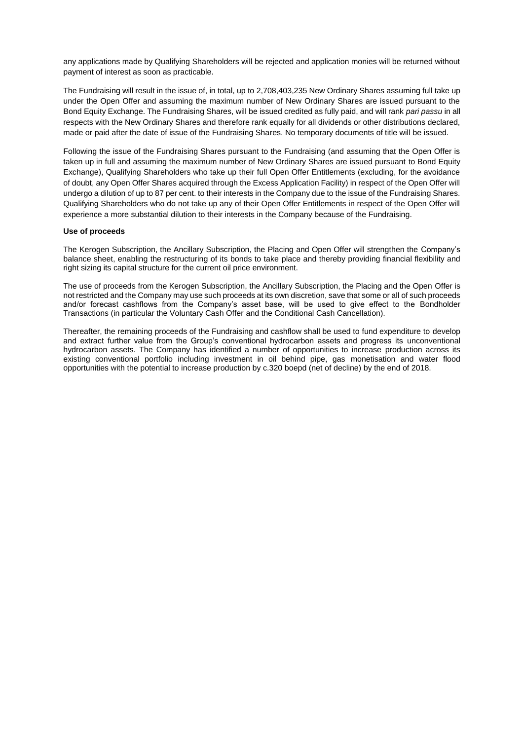any applications made by Qualifying Shareholders will be rejected and application monies will be returned without payment of interest as soon as practicable.

The Fundraising will result in the issue of, in total, up to 2,708,403,235 New Ordinary Shares assuming full take up under the Open Offer and assuming the maximum number of New Ordinary Shares are issued pursuant to the Bond Equity Exchange. The Fundraising Shares, will be issued credited as fully paid, and will rank *pari passu* in all respects with the New Ordinary Shares and therefore rank equally for all dividends or other distributions declared, made or paid after the date of issue of the Fundraising Shares. No temporary documents of title will be issued.

Following the issue of the Fundraising Shares pursuant to the Fundraising (and assuming that the Open Offer is taken up in full and assuming the maximum number of New Ordinary Shares are issued pursuant to Bond Equity Exchange), Qualifying Shareholders who take up their full Open Offer Entitlements (excluding, for the avoidance of doubt, any Open Offer Shares acquired through the Excess Application Facility) in respect of the Open Offer will undergo a dilution of up to 87 per cent. to their interests in the Company due to the issue of the Fundraising Shares. Qualifying Shareholders who do not take up any of their Open Offer Entitlements in respect of the Open Offer will experience a more substantial dilution to their interests in the Company because of the Fundraising.

#### **Use of proceeds**

The Kerogen Subscription, the Ancillary Subscription, the Placing and Open Offer will strengthen the Company's balance sheet, enabling the restructuring of its bonds to take place and thereby providing financial flexibility and right sizing its capital structure for the current oil price environment.

The use of proceeds from the Kerogen Subscription, the Ancillary Subscription, the Placing and the Open Offer is not restricted and the Company may use such proceeds at its own discretion, save that some or all of such proceeds and/or forecast cashflows from the Company's asset base, will be used to give effect to the Bondholder Transactions (in particular the Voluntary Cash Offer and the Conditional Cash Cancellation).

Thereafter, the remaining proceeds of the Fundraising and cashflow shall be used to fund expenditure to develop and extract further value from the Group's conventional hydrocarbon assets and progress its unconventional hydrocarbon assets. The Company has identified a number of opportunities to increase production across its existing conventional portfolio including investment in oil behind pipe, gas monetisation and water flood opportunities with the potential to increase production by c.320 boepd (net of decline) by the end of 2018.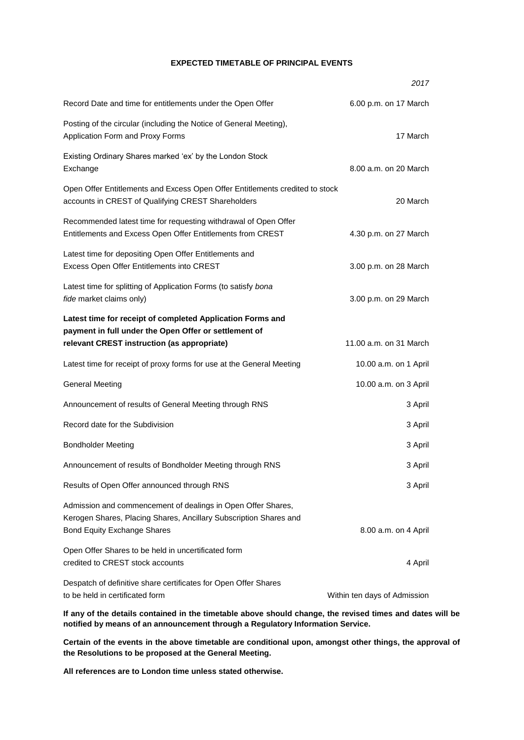# **EXPECTED TIMETABLE OF PRINCIPAL EVENTS**

|                                                                                                                                                                         | 2017                         |
|-------------------------------------------------------------------------------------------------------------------------------------------------------------------------|------------------------------|
| Record Date and time for entitlements under the Open Offer                                                                                                              | 6.00 p.m. on 17 March        |
| Posting of the circular (including the Notice of General Meeting),<br>Application Form and Proxy Forms                                                                  | 17 March                     |
| Existing Ordinary Shares marked 'ex' by the London Stock<br>Exchange                                                                                                    | 8.00 a.m. on 20 March        |
| Open Offer Entitlements and Excess Open Offer Entitlements credited to stock<br>accounts in CREST of Qualifying CREST Shareholders                                      | 20 March                     |
| Recommended latest time for requesting withdrawal of Open Offer<br>Entitlements and Excess Open Offer Entitlements from CREST                                           | 4.30 p.m. on 27 March        |
| Latest time for depositing Open Offer Entitlements and<br>Excess Open Offer Entitlements into CREST                                                                     | 3.00 p.m. on 28 March        |
| Latest time for splitting of Application Forms (to satisfy bona<br>fide market claims only)                                                                             | 3.00 p.m. on 29 March        |
| Latest time for receipt of completed Application Forms and<br>payment in full under the Open Offer or settlement of<br>relevant CREST instruction (as appropriate)      | 11.00 a.m. on 31 March       |
| Latest time for receipt of proxy forms for use at the General Meeting                                                                                                   | 10.00 a.m. on 1 April        |
| <b>General Meeting</b>                                                                                                                                                  | 10.00 a.m. on 3 April        |
| Announcement of results of General Meeting through RNS                                                                                                                  | 3 April                      |
| Record date for the Subdivision                                                                                                                                         | 3 April                      |
| <b>Bondholder Meeting</b>                                                                                                                                               | 3 April                      |
| Announcement of results of Bondholder Meeting through RNS                                                                                                               | 3 April                      |
| Results of Open Offer announced through RNS                                                                                                                             | 3 April                      |
| Admission and commencement of dealings in Open Offer Shares,<br>Kerogen Shares, Placing Shares, Ancillary Subscription Shares and<br><b>Bond Equity Exchange Shares</b> | 8.00 a.m. on 4 April         |
| Open Offer Shares to be held in uncertificated form<br>credited to CREST stock accounts                                                                                 | 4 April                      |
| Despatch of definitive share certificates for Open Offer Shares<br>to be held in certificated form                                                                      | Within ten days of Admission |

**If any of the details contained in the timetable above should change, the revised times and dates will be notified by means of an announcement through a Regulatory Information Service.**

**Certain of the events in the above timetable are conditional upon, amongst other things, the approval of the Resolutions to be proposed at the General Meeting.**

**All references are to London time unless stated otherwise.**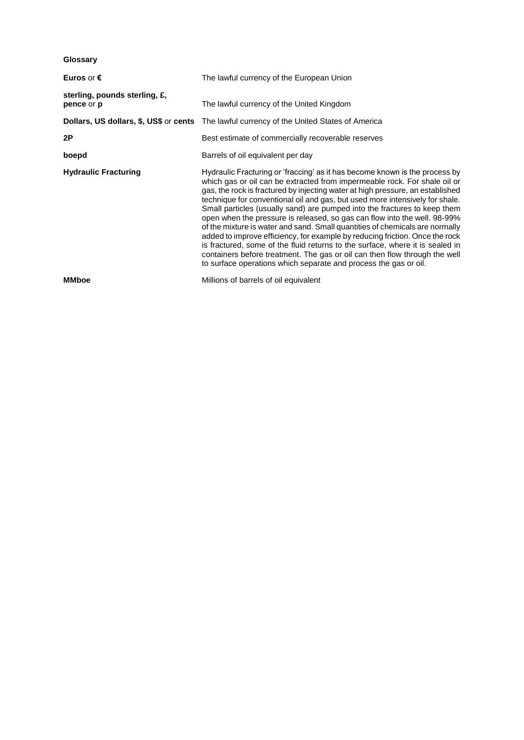**Glossary**

| Euros or $\epsilon$                         | The lawful currency of the European Union                                                                                                                                                                                                                                                                                                                                                                                                                                                                                                                                                                                                                                                                                                                                                                                                                                               |  |
|---------------------------------------------|-----------------------------------------------------------------------------------------------------------------------------------------------------------------------------------------------------------------------------------------------------------------------------------------------------------------------------------------------------------------------------------------------------------------------------------------------------------------------------------------------------------------------------------------------------------------------------------------------------------------------------------------------------------------------------------------------------------------------------------------------------------------------------------------------------------------------------------------------------------------------------------------|--|
| sterling, pounds sterling, £,<br>pence or p | The lawful currency of the United Kingdom                                                                                                                                                                                                                                                                                                                                                                                                                                                                                                                                                                                                                                                                                                                                                                                                                                               |  |
|                                             | <b>Dollars, US dollars, \$, US\$ or cents</b> The lawful currency of the United States of America                                                                                                                                                                                                                                                                                                                                                                                                                                                                                                                                                                                                                                                                                                                                                                                       |  |
| 2P                                          | Best estimate of commercially recoverable reserves                                                                                                                                                                                                                                                                                                                                                                                                                                                                                                                                                                                                                                                                                                                                                                                                                                      |  |
| boepd                                       | Barrels of oil equivalent per day                                                                                                                                                                                                                                                                                                                                                                                                                                                                                                                                                                                                                                                                                                                                                                                                                                                       |  |
| <b>Hydraulic Fracturing</b>                 | Hydraulic Fracturing or 'fraccing' as it has become known is the process by<br>which gas or oil can be extracted from impermeable rock. For shale oil or<br>gas, the rock is fractured by injecting water at high pressure, an established<br>technique for conventional oil and gas, but used more intensively for shale.<br>Small particles (usually sand) are pumped into the fractures to keep them<br>open when the pressure is released, so gas can flow into the well. 98-99%<br>of the mixture is water and sand. Small quantities of chemicals are normally<br>added to improve efficiency, for example by reducing friction. Once the rock<br>is fractured, some of the fluid returns to the surface, where it is sealed in<br>containers before treatment. The gas or oil can then flow through the well<br>to surface operations which separate and process the gas or oil. |  |
| <b>MMboe</b>                                | Millions of barrels of oil equivalent                                                                                                                                                                                                                                                                                                                                                                                                                                                                                                                                                                                                                                                                                                                                                                                                                                                   |  |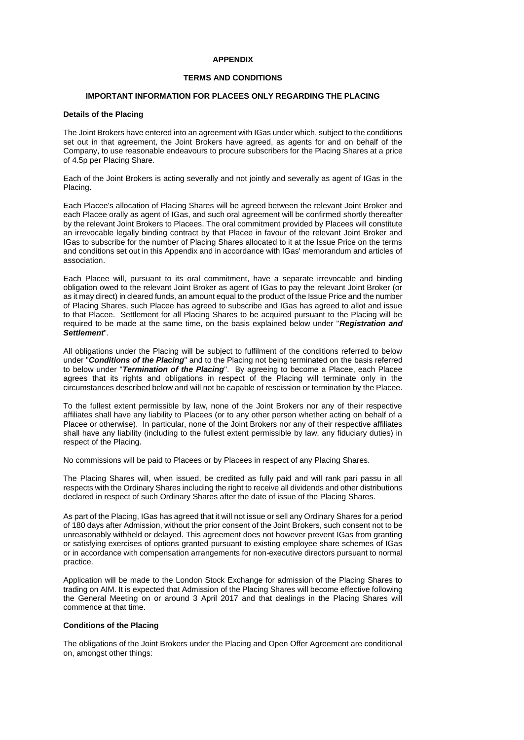#### **APPENDIX**

#### **TERMS AND CONDITIONS**

#### **IMPORTANT INFORMATION FOR PLACEES ONLY REGARDING THE PLACING**

#### **Details of the Placing**

The Joint Brokers have entered into an agreement with IGas under which, subject to the conditions set out in that agreement, the Joint Brokers have agreed, as agents for and on behalf of the Company, to use reasonable endeavours to procure subscribers for the Placing Shares at a price of 4.5p per Placing Share.

Each of the Joint Brokers is acting severally and not jointly and severally as agent of IGas in the Placing.

Each Placee's allocation of Placing Shares will be agreed between the relevant Joint Broker and each Placee orally as agent of IGas, and such oral agreement will be confirmed shortly thereafter by the relevant Joint Brokers to Placees. The oral commitment provided by Placees will constitute an irrevocable legally binding contract by that Placee in favour of the relevant Joint Broker and IGas to subscribe for the number of Placing Shares allocated to it at the Issue Price on the terms and conditions set out in this Appendix and in accordance with IGas' memorandum and articles of association.

Each Placee will, pursuant to its oral commitment, have a separate irrevocable and binding obligation owed to the relevant Joint Broker as agent of IGas to pay the relevant Joint Broker (or as it may direct) in cleared funds, an amount equal to the product of the Issue Price and the number of Placing Shares, such Placee has agreed to subscribe and IGas has agreed to allot and issue to that Placee. Settlement for all Placing Shares to be acquired pursuant to the Placing will be required to be made at the same time, on the basis explained below under "*Registration and Settlement*".

All obligations under the Placing will be subject to fulfilment of the conditions referred to below under "*Conditions of the Placing*" and to the Placing not being terminated on the basis referred to below under "*Termination of the Placing*". By agreeing to become a Placee, each Placee agrees that its rights and obligations in respect of the Placing will terminate only in the circumstances described below and will not be capable of rescission or termination by the Placee.

To the fullest extent permissible by law, none of the Joint Brokers nor any of their respective affiliates shall have any liability to Placees (or to any other person whether acting on behalf of a Placee or otherwise). In particular, none of the Joint Brokers nor any of their respective affiliates shall have any liability (including to the fullest extent permissible by law, any fiduciary duties) in respect of the Placing.

No commissions will be paid to Placees or by Placees in respect of any Placing Shares.

The Placing Shares will, when issued, be credited as fully paid and will rank pari passu in all respects with the Ordinary Shares including the right to receive all dividends and other distributions declared in respect of such Ordinary Shares after the date of issue of the Placing Shares.

As part of the Placing, IGas has agreed that it will not issue or sell any Ordinary Shares for a period of 180 days after Admission, without the prior consent of the Joint Brokers, such consent not to be unreasonably withheld or delayed. This agreement does not however prevent IGas from granting or satisfying exercises of options granted pursuant to existing employee share schemes of IGas or in accordance with compensation arrangements for non-executive directors pursuant to normal practice.

Application will be made to the London Stock Exchange for admission of the Placing Shares to trading on AIM. It is expected that Admission of the Placing Shares will become effective following the General Meeting on or around 3 April 2017 and that dealings in the Placing Shares will commence at that time.

#### **Conditions of the Placing**

The obligations of the Joint Brokers under the Placing and Open Offer Agreement are conditional on, amongst other things: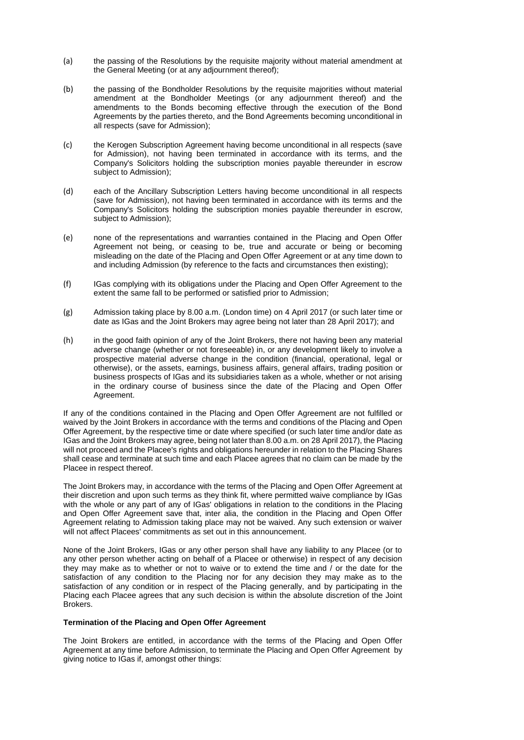- (a) the passing of the Resolutions by the requisite majority without material amendment at the General Meeting (or at any adjournment thereof);
- (b) the passing of the Bondholder Resolutions by the requisite majorities without material amendment at the Bondholder Meetings (or any adjournment thereof) and the amendments to the Bonds becoming effective through the execution of the Bond Agreements by the parties thereto, and the Bond Agreements becoming unconditional in all respects (save for Admission);
- (c) the Kerogen Subscription Agreement having become unconditional in all respects (save for Admission), not having been terminated in accordance with its terms, and the Company's Solicitors holding the subscription monies payable thereunder in escrow subject to Admission);
- (d) each of the Ancillary Subscription Letters having become unconditional in all respects (save for Admission), not having been terminated in accordance with its terms and the Company's Solicitors holding the subscription monies payable thereunder in escrow, subject to Admission);
- (e) none of the representations and warranties contained in the Placing and Open Offer Agreement not being, or ceasing to be, true and accurate or being or becoming misleading on the date of the Placing and Open Offer Agreement or at any time down to and including Admission (by reference to the facts and circumstances then existing);
- (f) IGas complying with its obligations under the Placing and Open Offer Agreement to the extent the same fall to be performed or satisfied prior to Admission;
- (g) Admission taking place by 8.00 a.m. (London time) on 4 April 2017 (or such later time or date as IGas and the Joint Brokers may agree being not later than 28 April 2017); and
- (h) in the good faith opinion of any of the Joint Brokers, there not having been any material adverse change (whether or not foreseeable) in, or any development likely to involve a prospective material adverse change in the condition (financial, operational, legal or otherwise), or the assets, earnings, business affairs, general affairs, trading position or business prospects of IGas and its subsidiaries taken as a whole, whether or not arising in the ordinary course of business since the date of the Placing and Open Offer Agreement.

If any of the conditions contained in the Placing and Open Offer Agreement are not fulfilled or waived by the Joint Brokers in accordance with the terms and conditions of the Placing and Open Offer Agreement, by the respective time or date where specified (or such later time and/or date as IGas and the Joint Brokers may agree, being not later than 8.00 a.m. on 28 April 2017), the Placing will not proceed and the Placee's rights and obligations hereunder in relation to the Placing Shares shall cease and terminate at such time and each Placee agrees that no claim can be made by the Placee in respect thereof.

The Joint Brokers may, in accordance with the terms of the Placing and Open Offer Agreement at their discretion and upon such terms as they think fit, where permitted waive compliance by IGas with the whole or any part of any of IGas' obligations in relation to the conditions in the Placing and Open Offer Agreement save that, inter alia, the condition in the Placing and Open Offer Agreement relating to Admission taking place may not be waived. Any such extension or waiver will not affect Placees' commitments as set out in this announcement.

None of the Joint Brokers, IGas or any other person shall have any liability to any Placee (or to any other person whether acting on behalf of a Placee or otherwise) in respect of any decision they may make as to whether or not to waive or to extend the time and / or the date for the satisfaction of any condition to the Placing nor for any decision they may make as to the satisfaction of any condition or in respect of the Placing generally, and by participating in the Placing each Placee agrees that any such decision is within the absolute discretion of the Joint Brokers.

#### **Termination of the Placing and Open Offer Agreement**

The Joint Brokers are entitled, in accordance with the terms of the Placing and Open Offer Agreement at any time before Admission, to terminate the Placing and Open Offer Agreement by giving notice to IGas if, amongst other things: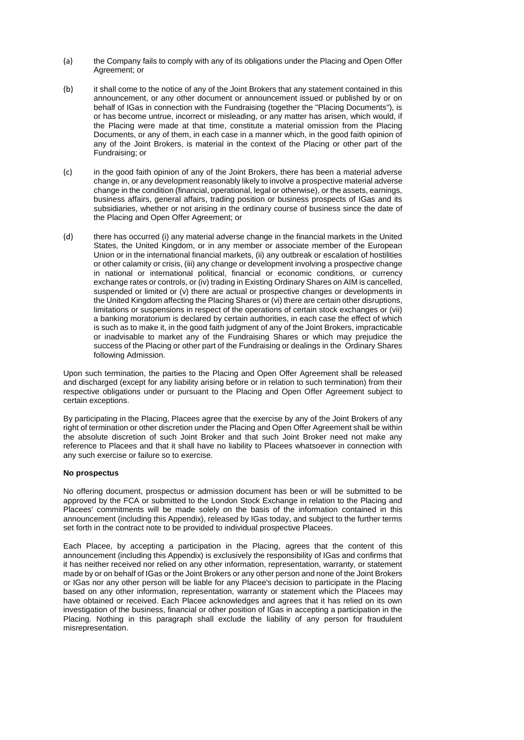- (a) the Company fails to comply with any of its obligations under the Placing and Open Offer Agreement; or
- (b) it shall come to the notice of any of the Joint Brokers that any statement contained in this announcement, or any other document or announcement issued or published by or on behalf of IGas in connection with the Fundraising (together the "Placing Documents"), is or has become untrue, incorrect or misleading, or any matter has arisen, which would, if the Placing were made at that time, constitute a material omission from the Placing Documents, or any of them, in each case in a manner which, in the good faith opinion of any of the Joint Brokers, is material in the context of the Placing or other part of the Fundraising; or
- (c) in the good faith opinion of any of the Joint Brokers, there has been a material adverse change in, or any development reasonably likely to involve a prospective material adverse change in the condition (financial, operational, legal or otherwise), or the assets, earnings, business affairs, general affairs, trading position or business prospects of IGas and its subsidiaries, whether or not arising in the ordinary course of business since the date of the Placing and Open Offer Agreement; or
- (d) there has occurred (i) any material adverse change in the financial markets in the United States, the United Kingdom, or in any member or associate member of the European Union or in the international financial markets, (ii) any outbreak or escalation of hostilities or other calamity or crisis, (iii) any change or development involving a prospective change in national or international political, financial or economic conditions, or currency exchange rates or controls, or (iv) trading in Existing Ordinary Shares on AIM is cancelled, suspended or limited or (v) there are actual or prospective changes or developments in the United Kingdom affecting the Placing Shares or (vi) there are certain other disruptions, limitations or suspensions in respect of the operations of certain stock exchanges or (vii) a banking moratorium is declared by certain authorities, in each case the effect of which is such as to make it, in the good faith judgment of any of the Joint Brokers, impracticable or inadvisable to market any of the Fundraising Shares or which may prejudice the success of the Placing or other part of the Fundraising or dealings in the Ordinary Shares following Admission.

Upon such termination, the parties to the Placing and Open Offer Agreement shall be released and discharged (except for any liability arising before or in relation to such termination) from their respective obligations under or pursuant to the Placing and Open Offer Agreement subject to certain exceptions.

By participating in the Placing, Placees agree that the exercise by any of the Joint Brokers of any right of termination or other discretion under the Placing and Open Offer Agreement shall be within the absolute discretion of such Joint Broker and that such Joint Broker need not make any reference to Placees and that it shall have no liability to Placees whatsoever in connection with any such exercise or failure so to exercise.

#### **No prospectus**

No offering document, prospectus or admission document has been or will be submitted to be approved by the FCA or submitted to the London Stock Exchange in relation to the Placing and Placees' commitments will be made solely on the basis of the information contained in this announcement (including this Appendix), released by IGas today, and subject to the further terms set forth in the contract note to be provided to individual prospective Placees.

Each Placee, by accepting a participation in the Placing, agrees that the content of this announcement (including this Appendix) is exclusively the responsibility of IGas and confirms that it has neither received nor relied on any other information, representation, warranty, or statement made by or on behalf of IGas or the Joint Brokers or any other person and none of the Joint Brokers or IGas nor any other person will be liable for any Placee's decision to participate in the Placing based on any other information, representation, warranty or statement which the Placees may have obtained or received. Each Placee acknowledges and agrees that it has relied on its own investigation of the business, financial or other position of IGas in accepting a participation in the Placing. Nothing in this paragraph shall exclude the liability of any person for fraudulent misrepresentation.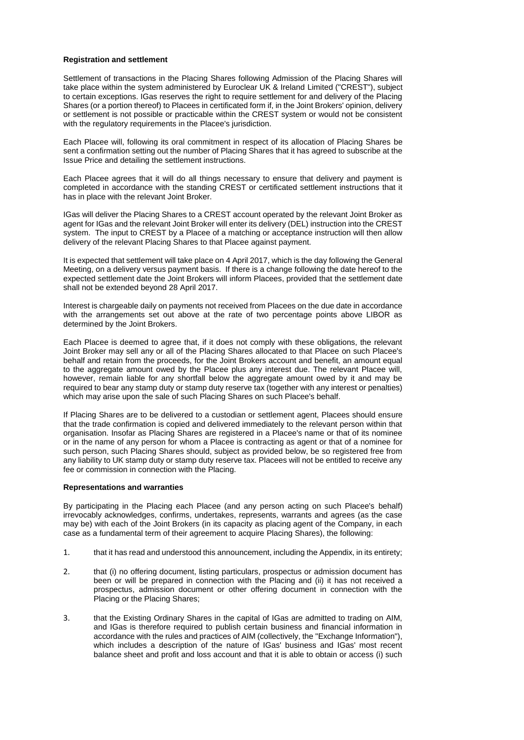#### **Registration and settlement**

Settlement of transactions in the Placing Shares following Admission of the Placing Shares will take place within the system administered by Euroclear UK & Ireland Limited ("CREST"), subject to certain exceptions. IGas reserves the right to require settlement for and delivery of the Placing Shares (or a portion thereof) to Placees in certificated form if, in the Joint Brokers' opinion, delivery or settlement is not possible or practicable within the CREST system or would not be consistent with the regulatory requirements in the Placee's jurisdiction.

Each Placee will, following its oral commitment in respect of its allocation of Placing Shares be sent a confirmation setting out the number of Placing Shares that it has agreed to subscribe at the Issue Price and detailing the settlement instructions.

Each Placee agrees that it will do all things necessary to ensure that delivery and payment is completed in accordance with the standing CREST or certificated settlement instructions that it has in place with the relevant Joint Broker.

IGas will deliver the Placing Shares to a CREST account operated by the relevant Joint Broker as agent for IGas and the relevant Joint Broker will enter its delivery (DEL) instruction into the CREST system. The input to CREST by a Placee of a matching or acceptance instruction will then allow delivery of the relevant Placing Shares to that Placee against payment.

It is expected that settlement will take place on 4 April 2017, which is the day following the General Meeting, on a delivery versus payment basis. If there is a change following the date hereof to the expected settlement date the Joint Brokers will inform Placees, provided that the settlement date shall not be extended beyond 28 April 2017.

Interest is chargeable daily on payments not received from Placees on the due date in accordance with the arrangements set out above at the rate of two percentage points above LIBOR as determined by the Joint Brokers.

Each Placee is deemed to agree that, if it does not comply with these obligations, the relevant Joint Broker may sell any or all of the Placing Shares allocated to that Placee on such Placee's behalf and retain from the proceeds, for the Joint Brokers account and benefit, an amount equal to the aggregate amount owed by the Placee plus any interest due. The relevant Placee will, however, remain liable for any shortfall below the aggregate amount owed by it and may be required to bear any stamp duty or stamp duty reserve tax (together with any interest or penalties) which may arise upon the sale of such Placing Shares on such Placee's behalf.

If Placing Shares are to be delivered to a custodian or settlement agent, Placees should ensure that the trade confirmation is copied and delivered immediately to the relevant person within that organisation. Insofar as Placing Shares are registered in a Placee's name or that of its nominee or in the name of any person for whom a Placee is contracting as agent or that of a nominee for such person, such Placing Shares should, subject as provided below, be so registered free from any liability to UK stamp duty or stamp duty reserve tax. Placees will not be entitled to receive any fee or commission in connection with the Placing.

#### **Representations and warranties**

By participating in the Placing each Placee (and any person acting on such Placee's behalf) irrevocably acknowledges, confirms, undertakes, represents, warrants and agrees (as the case may be) with each of the Joint Brokers (in its capacity as placing agent of the Company, in each case as a fundamental term of their agreement to acquire Placing Shares), the following:

- 1. that it has read and understood this announcement, including the Appendix, in its entirety;
- 2. that (i) no offering document, listing particulars, prospectus or admission document has been or will be prepared in connection with the Placing and (ii) it has not received a prospectus, admission document or other offering document in connection with the Placing or the Placing Shares;
- 3. that the Existing Ordinary Shares in the capital of IGas are admitted to trading on AIM, and IGas is therefore required to publish certain business and financial information in accordance with the rules and practices of AIM (collectively, the "Exchange Information"), which includes a description of the nature of IGas' business and IGas' most recent balance sheet and profit and loss account and that it is able to obtain or access (i) such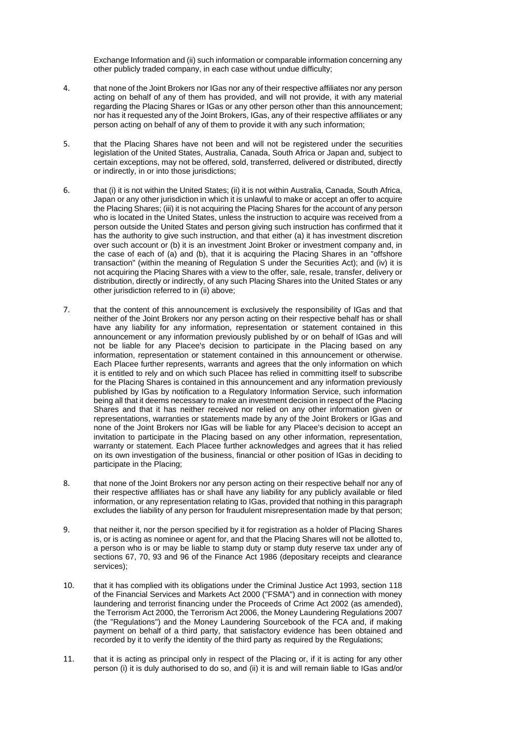Exchange Information and (ii) such information or comparable information concerning any other publicly traded company, in each case without undue difficulty;

- 4. that none of the Joint Brokers nor IGas nor any of their respective affiliates nor any person acting on behalf of any of them has provided, and will not provide, it with any material regarding the Placing Shares or IGas or any other person other than this announcement; nor has it requested any of the Joint Brokers, IGas, any of their respective affiliates or any person acting on behalf of any of them to provide it with any such information;
- 5. that the Placing Shares have not been and will not be registered under the securities legislation of the United States, Australia, Canada, South Africa or Japan and, subject to certain exceptions, may not be offered, sold, transferred, delivered or distributed, directly or indirectly, in or into those jurisdictions;
- 6. that (i) it is not within the United States; (ii) it is not within Australia, Canada, South Africa, Japan or any other jurisdiction in which it is unlawful to make or accept an offer to acquire the Placing Shares; (iii) it is not acquiring the Placing Shares for the account of any person who is located in the United States, unless the instruction to acquire was received from a person outside the United States and person giving such instruction has confirmed that it has the authority to give such instruction, and that either (a) it has investment discretion over such account or (b) it is an investment Joint Broker or investment company and, in the case of each of (a) and (b), that it is acquiring the Placing Shares in an "offshore transaction" (within the meaning of Regulation S under the Securities Act); and (iv) it is not acquiring the Placing Shares with a view to the offer, sale, resale, transfer, delivery or distribution, directly or indirectly, of any such Placing Shares into the United States or any other jurisdiction referred to in (ii) above;
- 7. that the content of this announcement is exclusively the responsibility of IGas and that neither of the Joint Brokers nor any person acting on their respective behalf has or shall have any liability for any information, representation or statement contained in this announcement or any information previously published by or on behalf of IGas and will not be liable for any Placee's decision to participate in the Placing based on any information, representation or statement contained in this announcement or otherwise. Each Placee further represents, warrants and agrees that the only information on which it is entitled to rely and on which such Placee has relied in committing itself to subscribe for the Placing Shares is contained in this announcement and any information previously published by IGas by notification to a Regulatory Information Service, such information being all that it deems necessary to make an investment decision in respect of the Placing Shares and that it has neither received nor relied on any other information given or representations, warranties or statements made by any of the Joint Brokers or IGas and none of the Joint Brokers nor IGas will be liable for any Placee's decision to accept an invitation to participate in the Placing based on any other information, representation, warranty or statement. Each Placee further acknowledges and agrees that it has relied on its own investigation of the business, financial or other position of IGas in deciding to participate in the Placing;
- 8. that none of the Joint Brokers nor any person acting on their respective behalf nor any of their respective affiliates has or shall have any liability for any publicly available or filed information, or any representation relating to IGas, provided that nothing in this paragraph excludes the liability of any person for fraudulent misrepresentation made by that person;
- 9. that neither it, nor the person specified by it for registration as a holder of Placing Shares is, or is acting as nominee or agent for, and that the Placing Shares will not be allotted to, a person who is or may be liable to stamp duty or stamp duty reserve tax under any of sections 67, 70, 93 and 96 of the Finance Act 1986 (depositary receipts and clearance services);
- 10. that it has complied with its obligations under the Criminal Justice Act 1993, section 118 of the Financial Services and Markets Act 2000 ("FSMA") and in connection with money laundering and terrorist financing under the Proceeds of Crime Act 2002 (as amended), the Terrorism Act 2000, the Terrorism Act 2006, the Money Laundering Regulations 2007 (the "Regulations") and the Money Laundering Sourcebook of the FCA and, if making payment on behalf of a third party, that satisfactory evidence has been obtained and recorded by it to verify the identity of the third party as required by the Regulations;
- 11. that it is acting as principal only in respect of the Placing or, if it is acting for any other person (i) it is duly authorised to do so, and (ii) it is and will remain liable to IGas and/or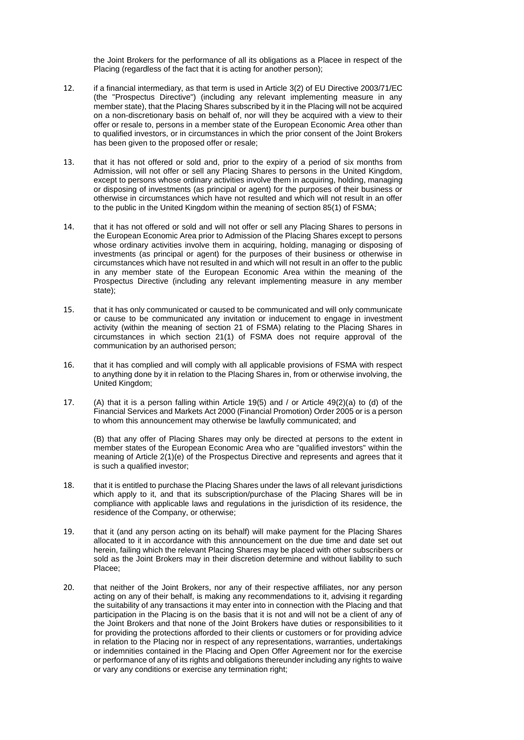the Joint Brokers for the performance of all its obligations as a Placee in respect of the Placing (regardless of the fact that it is acting for another person);

- 12. if a financial intermediary, as that term is used in Article 3(2) of EU Directive 2003/71/EC (the "Prospectus Directive") (including any relevant implementing measure in any member state), that the Placing Shares subscribed by it in the Placing will not be acquired on a non-discretionary basis on behalf of, nor will they be acquired with a view to their offer or resale to, persons in a member state of the European Economic Area other than to qualified investors, or in circumstances in which the prior consent of the Joint Brokers has been given to the proposed offer or resale;
- 13. that it has not offered or sold and, prior to the expiry of a period of six months from Admission, will not offer or sell any Placing Shares to persons in the United Kingdom, except to persons whose ordinary activities involve them in acquiring, holding, managing or disposing of investments (as principal or agent) for the purposes of their business or otherwise in circumstances which have not resulted and which will not result in an offer to the public in the United Kingdom within the meaning of section 85(1) of FSMA;
- 14. that it has not offered or sold and will not offer or sell any Placing Shares to persons in the European Economic Area prior to Admission of the Placing Shares except to persons whose ordinary activities involve them in acquiring, holding, managing or disposing of investments (as principal or agent) for the purposes of their business or otherwise in circumstances which have not resulted in and which will not result in an offer to the public in any member state of the European Economic Area within the meaning of the Prospectus Directive (including any relevant implementing measure in any member state);
- 15. that it has only communicated or caused to be communicated and will only communicate or cause to be communicated any invitation or inducement to engage in investment activity (within the meaning of section 21 of FSMA) relating to the Placing Shares in circumstances in which section 21(1) of FSMA does not require approval of the communication by an authorised person;
- 16. that it has complied and will comply with all applicable provisions of FSMA with respect to anything done by it in relation to the Placing Shares in, from or otherwise involving, the United Kingdom;
- 17. (A) that it is a person falling within Article 19(5) and / or Article 49(2)(a) to (d) of the Financial Services and Markets Act 2000 (Financial Promotion) Order 2005 or is a person to whom this announcement may otherwise be lawfully communicated; and

(B) that any offer of Placing Shares may only be directed at persons to the extent in member states of the European Economic Area who are "qualified investors" within the meaning of Article 2(1)(e) of the Prospectus Directive and represents and agrees that it is such a qualified investor;

- 18. that it is entitled to purchase the Placing Shares under the laws of all relevant jurisdictions which apply to it, and that its subscription/purchase of the Placing Shares will be in compliance with applicable laws and regulations in the jurisdiction of its residence, the residence of the Company, or otherwise;
- 19. that it (and any person acting on its behalf) will make payment for the Placing Shares allocated to it in accordance with this announcement on the due time and date set out herein, failing which the relevant Placing Shares may be placed with other subscribers or sold as the Joint Brokers may in their discretion determine and without liability to such Placee;
- 20. that neither of the Joint Brokers, nor any of their respective affiliates, nor any person acting on any of their behalf, is making any recommendations to it, advising it regarding the suitability of any transactions it may enter into in connection with the Placing and that participation in the Placing is on the basis that it is not and will not be a client of any of the Joint Brokers and that none of the Joint Brokers have duties or responsibilities to it for providing the protections afforded to their clients or customers or for providing advice in relation to the Placing nor in respect of any representations, warranties, undertakings or indemnities contained in the Placing and Open Offer Agreement nor for the exercise or performance of any of its rights and obligations thereunder including any rights to waive or vary any conditions or exercise any termination right;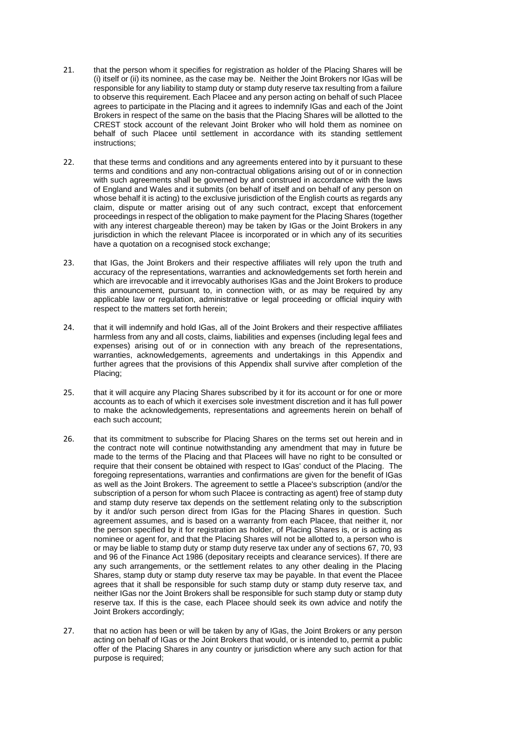- 21. that the person whom it specifies for registration as holder of the Placing Shares will be (i) itself or (ii) its nominee, as the case may be. Neither the Joint Brokers nor IGas will be responsible for any liability to stamp duty or stamp duty reserve tax resulting from a failure to observe this requirement. Each Placee and any person acting on behalf of such Placee agrees to participate in the Placing and it agrees to indemnify IGas and each of the Joint Brokers in respect of the same on the basis that the Placing Shares will be allotted to the CREST stock account of the relevant Joint Broker who will hold them as nominee on behalf of such Placee until settlement in accordance with its standing settlement instructions;
- 22. that these terms and conditions and any agreements entered into by it pursuant to these terms and conditions and any non-contractual obligations arising out of or in connection with such agreements shall be governed by and construed in accordance with the laws of England and Wales and it submits (on behalf of itself and on behalf of any person on whose behalf it is acting) to the exclusive jurisdiction of the English courts as regards any claim, dispute or matter arising out of any such contract, except that enforcement proceedings in respect of the obligation to make payment for the Placing Shares (together with any interest chargeable thereon) may be taken by IGas or the Joint Brokers in any jurisdiction in which the relevant Placee is incorporated or in which any of its securities have a quotation on a recognised stock exchange;
- 23. that IGas, the Joint Brokers and their respective affiliates will rely upon the truth and accuracy of the representations, warranties and acknowledgements set forth herein and which are irrevocable and it irrevocably authorises IGas and the Joint Brokers to produce this announcement, pursuant to, in connection with, or as may be required by any applicable law or regulation, administrative or legal proceeding or official inquiry with respect to the matters set forth herein;
- 24. that it will indemnify and hold IGas, all of the Joint Brokers and their respective affiliates harmless from any and all costs, claims, liabilities and expenses (including legal fees and expenses) arising out of or in connection with any breach of the representations, warranties, acknowledgements, agreements and undertakings in this Appendix and further agrees that the provisions of this Appendix shall survive after completion of the Placing;
- 25. that it will acquire any Placing Shares subscribed by it for its account or for one or more accounts as to each of which it exercises sole investment discretion and it has full power to make the acknowledgements, representations and agreements herein on behalf of each such account;
- 26. that its commitment to subscribe for Placing Shares on the terms set out herein and in the contract note will continue notwithstanding any amendment that may in future be made to the terms of the Placing and that Placees will have no right to be consulted or require that their consent be obtained with respect to IGas' conduct of the Placing. The foregoing representations, warranties and confirmations are given for the benefit of IGas as well as the Joint Brokers. The agreement to settle a Placee's subscription (and/or the subscription of a person for whom such Placee is contracting as agent) free of stamp duty and stamp duty reserve tax depends on the settlement relating only to the subscription by it and/or such person direct from IGas for the Placing Shares in question. Such agreement assumes, and is based on a warranty from each Placee, that neither it, nor the person specified by it for registration as holder, of Placing Shares is, or is acting as nominee or agent for, and that the Placing Shares will not be allotted to, a person who is or may be liable to stamp duty or stamp duty reserve tax under any of sections 67, 70, 93 and 96 of the Finance Act 1986 (depositary receipts and clearance services). If there are any such arrangements, or the settlement relates to any other dealing in the Placing Shares, stamp duty or stamp duty reserve tax may be payable. In that event the Placee agrees that it shall be responsible for such stamp duty or stamp duty reserve tax, and neither IGas nor the Joint Brokers shall be responsible for such stamp duty or stamp duty reserve tax. If this is the case, each Placee should seek its own advice and notify the Joint Brokers accordingly;
- 27. that no action has been or will be taken by any of IGas, the Joint Brokers or any person acting on behalf of IGas or the Joint Brokers that would, or is intended to, permit a public offer of the Placing Shares in any country or jurisdiction where any such action for that purpose is required;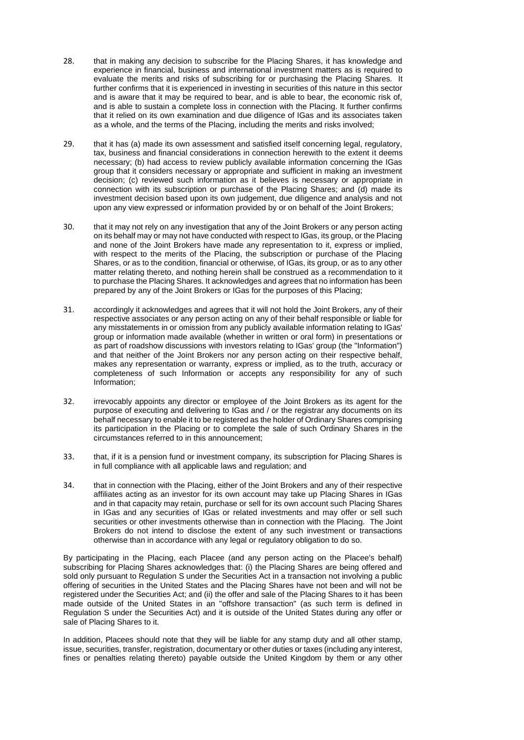- 28. that in making any decision to subscribe for the Placing Shares, it has knowledge and experience in financial, business and international investment matters as is required to evaluate the merits and risks of subscribing for or purchasing the Placing Shares. It further confirms that it is experienced in investing in securities of this nature in this sector and is aware that it may be required to bear, and is able to bear, the economic risk of, and is able to sustain a complete loss in connection with the Placing. It further confirms that it relied on its own examination and due diligence of IGas and its associates taken as a whole, and the terms of the Placing, including the merits and risks involved;
- 29. that it has (a) made its own assessment and satisfied itself concerning legal, regulatory, tax, business and financial considerations in connection herewith to the extent it deems necessary; (b) had access to review publicly available information concerning the IGas group that it considers necessary or appropriate and sufficient in making an investment decision; (c) reviewed such information as it believes is necessary or appropriate in connection with its subscription or purchase of the Placing Shares; and (d) made its investment decision based upon its own judgement, due diligence and analysis and not upon any view expressed or information provided by or on behalf of the Joint Brokers;
- 30. that it may not rely on any investigation that any of the Joint Brokers or any person acting on its behalf may or may not have conducted with respect to IGas, its group, or the Placing and none of the Joint Brokers have made any representation to it, express or implied, with respect to the merits of the Placing, the subscription or purchase of the Placing Shares, or as to the condition, financial or otherwise, of IGas, its group, or as to any other matter relating thereto, and nothing herein shall be construed as a recommendation to it to purchase the Placing Shares. It acknowledges and agrees that no information has been prepared by any of the Joint Brokers or IGas for the purposes of this Placing;
- 31. accordingly it acknowledges and agrees that it will not hold the Joint Brokers, any of their respective associates or any person acting on any of their behalf responsible or liable for any misstatements in or omission from any publicly available information relating to IGas' group or information made available (whether in written or oral form) in presentations or as part of roadshow discussions with investors relating to IGas' group (the "Information") and that neither of the Joint Brokers nor any person acting on their respective behalf, makes any representation or warranty, express or implied, as to the truth, accuracy or completeness of such Information or accepts any responsibility for any of such Information;
- 32. irrevocably appoints any director or employee of the Joint Brokers as its agent for the purpose of executing and delivering to IGas and / or the registrar any documents on its behalf necessary to enable it to be registered as the holder of Ordinary Shares comprising its participation in the Placing or to complete the sale of such Ordinary Shares in the circumstances referred to in this announcement;
- 33. that, if it is a pension fund or investment company, its subscription for Placing Shares is in full compliance with all applicable laws and regulation; and
- 34. that in connection with the Placing, either of the Joint Brokers and any of their respective affiliates acting as an investor for its own account may take up Placing Shares in IGas and in that capacity may retain, purchase or sell for its own account such Placing Shares in IGas and any securities of IGas or related investments and may offer or sell such securities or other investments otherwise than in connection with the Placing. The Joint Brokers do not intend to disclose the extent of any such investment or transactions otherwise than in accordance with any legal or regulatory obligation to do so.

By participating in the Placing, each Placee (and any person acting on the Placee's behalf) subscribing for Placing Shares acknowledges that: (i) the Placing Shares are being offered and sold only pursuant to Regulation S under the Securities Act in a transaction not involving a public offering of securities in the United States and the Placing Shares have not been and will not be registered under the Securities Act; and (ii) the offer and sale of the Placing Shares to it has been made outside of the United States in an "offshore transaction" (as such term is defined in Regulation S under the Securities Act) and it is outside of the United States during any offer or sale of Placing Shares to it.

In addition, Placees should note that they will be liable for any stamp duty and all other stamp, issue, securities, transfer, registration, documentary or other duties or taxes (including any interest, fines or penalties relating thereto) payable outside the United Kingdom by them or any other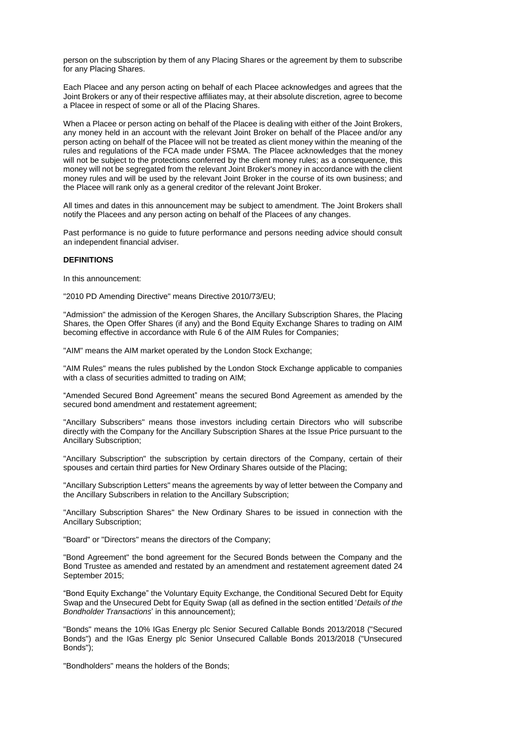person on the subscription by them of any Placing Shares or the agreement by them to subscribe for any Placing Shares.

Each Placee and any person acting on behalf of each Placee acknowledges and agrees that the Joint Brokers or any of their respective affiliates may, at their absolute discretion, agree to become a Placee in respect of some or all of the Placing Shares.

When a Placee or person acting on behalf of the Placee is dealing with either of the Joint Brokers, any money held in an account with the relevant Joint Broker on behalf of the Placee and/or any person acting on behalf of the Placee will not be treated as client money within the meaning of the rules and regulations of the FCA made under FSMA. The Placee acknowledges that the money will not be subject to the protections conferred by the client money rules; as a consequence, this money will not be segregated from the relevant Joint Broker's money in accordance with the client money rules and will be used by the relevant Joint Broker in the course of its own business; and the Placee will rank only as a general creditor of the relevant Joint Broker.

All times and dates in this announcement may be subject to amendment. The Joint Brokers shall notify the Placees and any person acting on behalf of the Placees of any changes.

Past performance is no guide to future performance and persons needing advice should consult an independent financial adviser.

#### **DEFINITIONS**

In this announcement:

"2010 PD Amending Directive" means Directive 2010/73/EU;

"Admission" the admission of the Kerogen Shares, the Ancillary Subscription Shares, the Placing Shares, the Open Offer Shares (if any) and the Bond Equity Exchange Shares to trading on AIM becoming effective in accordance with Rule 6 of the AIM Rules for Companies;

"AIM" means the AIM market operated by the London Stock Exchange;

"AIM Rules" means the rules published by the London Stock Exchange applicable to companies with a class of securities admitted to trading on AIM;

"Amended Secured Bond Agreement" means the secured Bond Agreement as amended by the secured bond amendment and restatement agreement;

"Ancillary Subscribers" means those investors including certain Directors who will subscribe directly with the Company for the Ancillary Subscription Shares at the Issue Price pursuant to the Ancillary Subscription;

"Ancillary Subscription" the subscription by certain directors of the Company, certain of their spouses and certain third parties for New Ordinary Shares outside of the Placing;

"Ancillary Subscription Letters" means the agreements by way of letter between the Company and the Ancillary Subscribers in relation to the Ancillary Subscription;

"Ancillary Subscription Shares" the New Ordinary Shares to be issued in connection with the Ancillary Subscription;

"Board" or "Directors" means the directors of the Company;

"Bond Agreement" the bond agreement for the Secured Bonds between the Company and the Bond Trustee as amended and restated by an amendment and restatement agreement dated 24 September 2015;

"Bond Equity Exchange" the Voluntary Equity Exchange, the Conditional Secured Debt for Equity Swap and the Unsecured Debt for Equity Swap (all as defined in the section entitled '*Details of the Bondholder Transactions*' in this announcement);

"Bonds" means the 10% IGas Energy plc Senior Secured Callable Bonds 2013/2018 ("Secured Bonds") and the IGas Energy plc Senior Unsecured Callable Bonds 2013/2018 ("Unsecured Bonds");

"Bondholders" means the holders of the Bonds;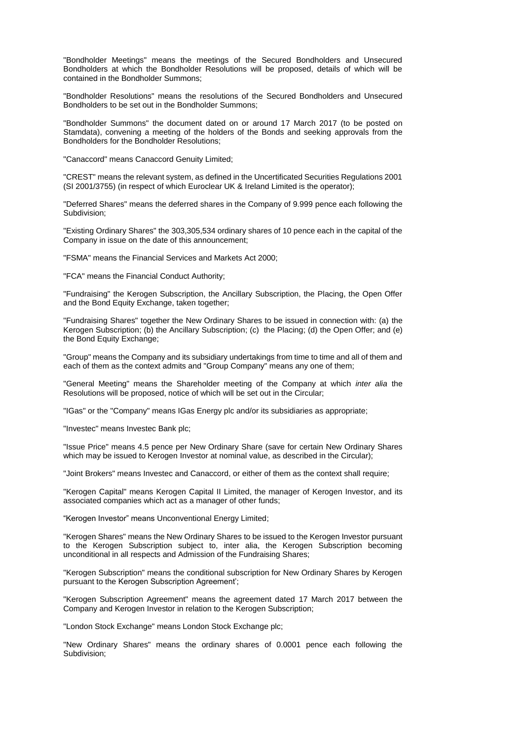"Bondholder Meetings" means the meetings of the Secured Bondholders and Unsecured Bondholders at which the Bondholder Resolutions will be proposed, details of which will be contained in the Bondholder Summons;

"Bondholder Resolutions" means the resolutions of the Secured Bondholders and Unsecured Bondholders to be set out in the Bondholder Summons;

"Bondholder Summons" the document dated on or around 17 March 2017 (to be posted on Stamdata), convening a meeting of the holders of the Bonds and seeking approvals from the Bondholders for the Bondholder Resolutions;

"Canaccord" means Canaccord Genuity Limited;

"CREST" means the relevant system, as defined in the Uncertificated Securities Regulations 2001 (SI 2001/3755) (in respect of which Euroclear UK & Ireland Limited is the operator);

"Deferred Shares" means the deferred shares in the Company of 9.999 pence each following the Subdivision;

"Existing Ordinary Shares" the 303,305,534 ordinary shares of 10 pence each in the capital of the Company in issue on the date of this announcement;

"FSMA" means the Financial Services and Markets Act 2000;

"FCA" means the Financial Conduct Authority;

"Fundraising" the Kerogen Subscription, the Ancillary Subscription, the Placing, the Open Offer and the Bond Equity Exchange, taken together;

"Fundraising Shares" together the New Ordinary Shares to be issued in connection with: (a) the Kerogen Subscription; (b) the Ancillary Subscription; (c) the Placing; (d) the Open Offer; and (e) the Bond Equity Exchange;

"Group" means the Company and its subsidiary undertakings from time to time and all of them and each of them as the context admits and "Group Company" means any one of them;

"General Meeting" means the Shareholder meeting of the Company at which *inter alia* the Resolutions will be proposed, notice of which will be set out in the Circular;

"IGas" or the "Company" means IGas Energy plc and/or its subsidiaries as appropriate;

"Investec" means Investec Bank plc;

"Issue Price" means 4.5 pence per New Ordinary Share (save for certain New Ordinary Shares which may be issued to Kerogen Investor at nominal value, as described in the Circular);

"Joint Brokers" means Investec and Canaccord, or either of them as the context shall require;

"Kerogen Capital" means Kerogen Capital II Limited, the manager of Kerogen Investor, and its associated companies which act as a manager of other funds;

"Kerogen Investor" means Unconventional Energy Limited;

"Kerogen Shares" means the New Ordinary Shares to be issued to the Kerogen Investor pursuant to the Kerogen Subscription subject to, inter alia, the Kerogen Subscription becoming unconditional in all respects and Admission of the Fundraising Shares;

"Kerogen Subscription" means the conditional subscription for New Ordinary Shares by Kerogen pursuant to the Kerogen Subscription Agreement';

"Kerogen Subscription Agreement" means the agreement dated 17 March 2017 between the Company and Kerogen Investor in relation to the Kerogen Subscription;

"London Stock Exchange" means London Stock Exchange plc;

"New Ordinary Shares" means the ordinary shares of 0.0001 pence each following the Subdivision;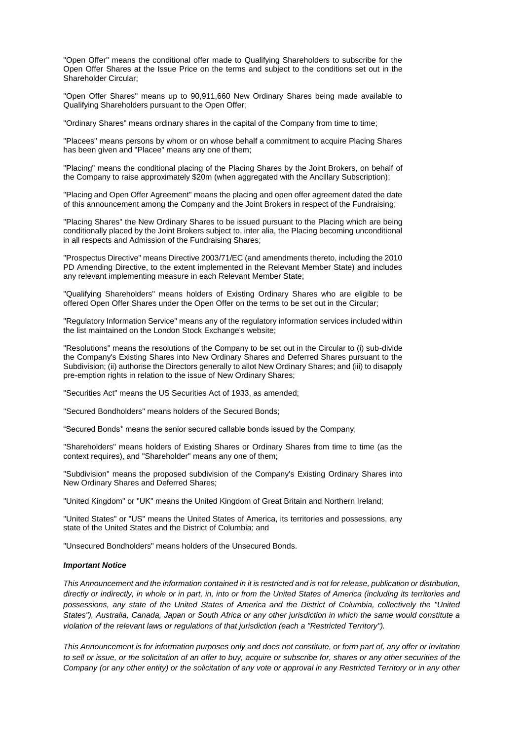"Open Offer" means the conditional offer made to Qualifying Shareholders to subscribe for the Open Offer Shares at the Issue Price on the terms and subject to the conditions set out in the Shareholder Circular;

"Open Offer Shares" means up to 90,911,660 New Ordinary Shares being made available to Qualifying Shareholders pursuant to the Open Offer;

"Ordinary Shares" means ordinary shares in the capital of the Company from time to time;

"Placees" means persons by whom or on whose behalf a commitment to acquire Placing Shares has been given and "Placee" means any one of them;

"Placing" means the conditional placing of the Placing Shares by the Joint Brokers, on behalf of the Company to raise approximately \$20m (when aggregated with the Ancillary Subscription);

"Placing and Open Offer Agreement" means the placing and open offer agreement dated the date of this announcement among the Company and the Joint Brokers in respect of the Fundraising;

"Placing Shares" the New Ordinary Shares to be issued pursuant to the Placing which are being conditionally placed by the Joint Brokers subject to, inter alia, the Placing becoming unconditional in all respects and Admission of the Fundraising Shares;

"Prospectus Directive" means Directive 2003/71/EC (and amendments thereto, including the 2010 PD Amending Directive, to the extent implemented in the Relevant Member State) and includes any relevant implementing measure in each Relevant Member State;

"Qualifying Shareholders" means holders of Existing Ordinary Shares who are eligible to be offered Open Offer Shares under the Open Offer on the terms to be set out in the Circular;

"Regulatory Information Service" means any of the regulatory information services included within the list maintained on the London Stock Exchange's website;

"Resolutions" means the resolutions of the Company to be set out in the Circular to (i) sub-divide the Company's Existing Shares into New Ordinary Shares and Deferred Shares pursuant to the Subdivision; (ii) authorise the Directors generally to allot New Ordinary Shares; and (iii) to disapply pre-emption rights in relation to the issue of New Ordinary Shares;

"Securities Act" means the US Securities Act of 1933, as amended;

"Secured Bondholders" means holders of the Secured Bonds;

"Secured Bonds\* means the senior secured callable bonds issued by the Company;

"Shareholders" means holders of Existing Shares or Ordinary Shares from time to time (as the context requires), and "Shareholder" means any one of them;

"Subdivision" means the proposed subdivision of the Company's Existing Ordinary Shares into New Ordinary Shares and Deferred Shares;

"United Kingdom" or "UK" means the United Kingdom of Great Britain and Northern Ireland;

"United States" or "US" means the United States of America, its territories and possessions, any state of the United States and the District of Columbia; and

"Unsecured Bondholders" means holders of the Unsecured Bonds.

#### *Important Notice*

*This Announcement and the information contained in it is restricted and is not for release, publication or distribution, directly or indirectly, in whole or in part, in, into or from the United States of America (including its territories and possessions, any state of the United States of America and the District of Columbia, collectively the "United States"), Australia, Canada, Japan or South Africa or any other jurisdiction in which the same would constitute a violation of the relevant laws or regulations of that jurisdiction (each a "Restricted Territory").*

*This Announcement is for information purposes only and does not constitute, or form part of, any offer or invitation to sell or issue, or the solicitation of an offer to buy, acquire or subscribe for, shares or any other securities of the Company (or any other entity) or the solicitation of any vote or approval in any Restricted Territory or in any other*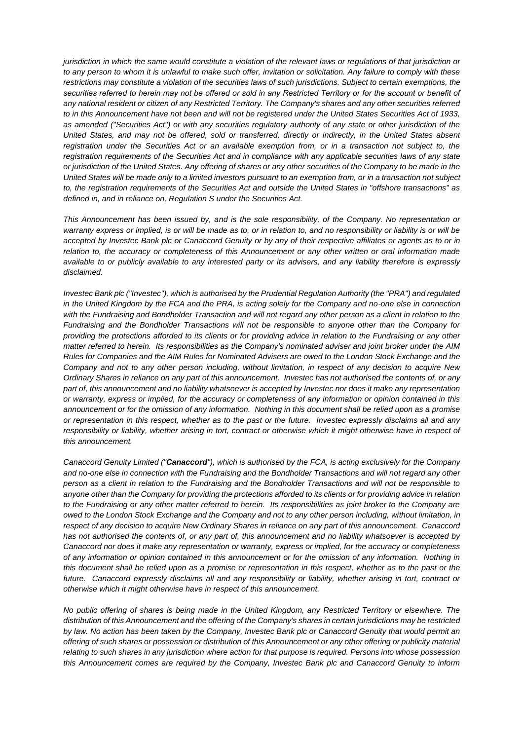*jurisdiction in which the same would constitute a violation of the relevant laws or regulations of that jurisdiction or to any person to whom it is unlawful to make such offer, invitation or solicitation. Any failure to comply with these restrictions may constitute a violation of the securities laws of such jurisdictions. Subject to certain exemptions, the securities referred to herein may not be offered or sold in any Restricted Territory or for the account or benefit of any national resident or citizen of any Restricted Territory. The Company's shares and any other securities referred to in this Announcement have not been and will not be registered under the United States Securities Act of 1933, as amended ("Securities Act") or with any securities regulatory authority of any state or other jurisdiction of the United States, and may not be offered, sold or transferred, directly or indirectly, in the United States absent*  registration under the Securities Act or an available exemption from, or in a transaction not subject to, the *registration requirements of the Securities Act and in compliance with any applicable securities laws of any state or jurisdiction of the United States. Any offering of shares or any other securities of the Company to be made in the United States will be made only to a limited investors pursuant to an exemption from, or in a transaction not subject to, the registration requirements of the Securities Act and outside the United States in "offshore transactions" as defined in, and in reliance on, Regulation S under the Securities Act.*

*This Announcement has been issued by, and is the sole responsibility, of the Company. No representation or warranty express or implied, is or will be made as to, or in relation to, and no responsibility or liability is or will be accepted by Investec Bank plc or Canaccord Genuity or by any of their respective affiliates or agents as to or in relation to, the accuracy or completeness of this Announcement or any other written or oral information made available to or publicly available to any interested party or its advisers, and any liability therefore is expressly disclaimed.*

*Investec Bank plc ("Investec"), which is authorised by the Prudential Regulation Authority (the "PRA") and regulated in the United Kingdom by the FCA and the PRA, is acting solely for the Company and no-one else in connection with the Fundraising and Bondholder Transaction and will not regard any other person as a client in relation to the Fundraising and the Bondholder Transactions will not be responsible to anyone other than the Company for providing the protections afforded to its clients or for providing advice in relation to the Fundraising or any other matter referred to herein. Its responsibilities as the Company's nominated adviser and joint broker under the AIM Rules for Companies and the AIM Rules for Nominated Advisers are owed to the London Stock Exchange and the Company and not to any other person including, without limitation, in respect of any decision to acquire New Ordinary Shares in reliance on any part of this announcement. Investec has not authorised the contents of, or any part of, this announcement and no liability whatsoever is accepted by Investec nor does it make any representation or warranty, express or implied, for the accuracy or completeness of any information or opinion contained in this announcement or for the omission of any information. Nothing in this document shall be relied upon as a promise or representation in this respect, whether as to the past or the future. Investec expressly disclaims all and any responsibility or liability, whether arising in tort, contract or otherwise which it might otherwise have in respect of this announcement.*

*Canaccord Genuity Limited ("Canaccord"), which is authorised by the FCA, is acting exclusively for the Company and no-one else in connection with the Fundraising and the Bondholder Transactions and will not regard any other person as a client in relation to the Fundraising and the Bondholder Transactions and will not be responsible to anyone other than the Company for providing the protections afforded to its clients or for providing advice in relation to the Fundraising or any other matter referred to herein. Its responsibilities as joint broker to the Company are owed to the London Stock Exchange and the Company and not to any other person including, without limitation, in respect of any decision to acquire New Ordinary Shares in reliance on any part of this announcement. Canaccord has not authorised the contents of, or any part of, this announcement and no liability whatsoever is accepted by Canaccord nor does it make any representation or warranty, express or implied, for the accuracy or completeness of any information or opinion contained in this announcement or for the omission of any information. Nothing in this document shall be relied upon as a promise or representation in this respect, whether as to the past or the future. Canaccord expressly disclaims all and any responsibility or liability, whether arising in tort, contract or otherwise which it might otherwise have in respect of this announcement.*

*No public offering of shares is being made in the United Kingdom, any Restricted Territory or elsewhere. The distribution of this Announcement and the offering of the Company's shares in certain jurisdictions may be restricted by law. No action has been taken by the Company, Investec Bank plc or Canaccord Genuity that would permit an offering of such shares or possession or distribution of this Announcement or any other offering or publicity material relating to such shares in any jurisdiction where action for that purpose is required. Persons into whose possession this Announcement comes are required by the Company, Investec Bank plc and Canaccord Genuity to inform*